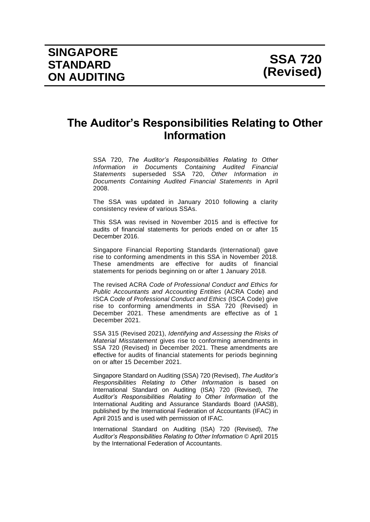# **The Auditor's Responsibilities Relating to Other Information**

SSA 720, *The Auditor's Responsibilities Relating to Other Information in Documents Containing Audited Financial Statements* superseded SSA 720, *Other Information in Documents Containing Audited Financial Statements* in April 2008.

The SSA was updated in January 2010 following a clarity consistency review of various SSAs.

This SSA was revised in November 2015 and is effective for audits of financial statements for periods ended on or after 15 December 2016.

Singapore Financial Reporting Standards (International) gave rise to conforming amendments in this SSA in November 2018. These amendments are effective for audits of financial statements for periods beginning on or after 1 January 2018.

The revised ACRA *Code of Professional Conduct and Ethics for Public Accountants and Accounting Entities* (ACRA Code) and ISCA *Code of Professional Conduct and Ethics* (ISCA Code) give rise to conforming amendments in SSA 720 (Revised) in December 2021. These amendments are effective as of 1 December 2021.

SSA 315 (Revised 2021), *Identifying and Assessing the Risks of Material Misstatement* gives rise to conforming amendments in SSA 720 (Revised) in December 2021. These amendments are effective for audits of financial statements for periods beginning on or after 15 December 2021.

Singapore Standard on Auditing (SSA) 720 (Revised), *The Auditor's Responsibilities Relating to Other Information* is based on International Standard on Auditing (ISA) 720 (Revised), *The Auditor's Responsibilities Relating to Other Information* of the International Auditing and Assurance Standards Board (IAASB), published by the International Federation of Accountants (IFAC) in April 2015 and is used with permission of IFAC.

International Standard on Auditing (ISA) 720 (Revised), *The Auditor's Responsibilities Relating to Other Information* © April 2015 by the International Federation of Accountants.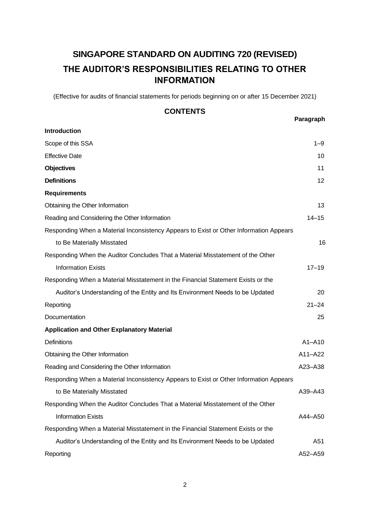# **SINGAPORE STANDARD ON AUDITING 720 (REVISED) THE AUDITOR'S RESPONSIBILITIES RELATING TO OTHER INFORMATION**

(Effective for audits of financial statements for periods beginning on or after 15 December 2021)

# **CONTENTS**

### **Paragraph**

| <b>Introduction</b>                                                                    |            |
|----------------------------------------------------------------------------------------|------------|
| Scope of this SSA                                                                      | $1 - 9$    |
| <b>Effective Date</b>                                                                  | 10         |
| <b>Objectives</b>                                                                      | 11         |
| <b>Definitions</b>                                                                     | 12         |
| <b>Requirements</b>                                                                    |            |
| Obtaining the Other Information                                                        | 13         |
| Reading and Considering the Other Information                                          | $14 - 15$  |
| Responding When a Material Inconsistency Appears to Exist or Other Information Appears |            |
| to Be Materially Misstated                                                             | 16         |
| Responding When the Auditor Concludes That a Material Misstatement of the Other        |            |
| <b>Information Exists</b>                                                              | $17 - 19$  |
| Responding When a Material Misstatement in the Financial Statement Exists or the       |            |
| Auditor's Understanding of the Entity and Its Environment Needs to be Updated          | 20         |
| Reporting                                                                              | $21 - 24$  |
| Documentation                                                                          | 25         |
| <b>Application and Other Explanatory Material</b>                                      |            |
| <b>Definitions</b>                                                                     | $A1 - A10$ |
| Obtaining the Other Information                                                        | A11-A22    |
| Reading and Considering the Other Information                                          | A23-A38    |
| Responding When a Material Inconsistency Appears to Exist or Other Information Appears |            |
| to Be Materially Misstated                                                             | A39-A43    |
| Responding When the Auditor Concludes That a Material Misstatement of the Other        |            |
| <b>Information Exists</b>                                                              | A44-A50    |
| Responding When a Material Misstatement in the Financial Statement Exists or the       |            |
| Auditor's Understanding of the Entity and Its Environment Needs to be Updated          | A51        |
| Reporting                                                                              | A52-A59    |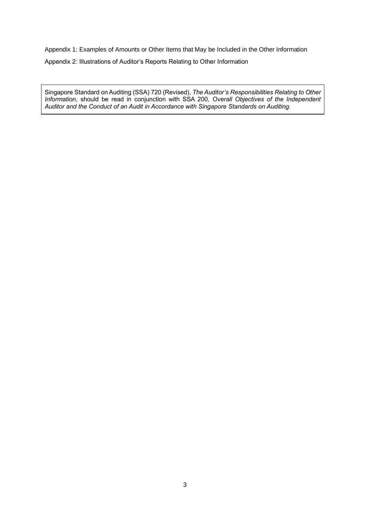Appendix 1: Examples of Amounts or Other Items that May be Included in the Other Information Appendix 2: Illustrations of Auditor's Reports Relating to Other Information

Singapore Standard on Auditing (SSA) 720 (Revised), *The Auditor's Responsibilities Relating to Other Information*, should be read in conjunction with SSA 200, *Overall Objectives of the Independent Auditor and the Conduct of an Audit in Accordance with Singapore Standards on Auditing*.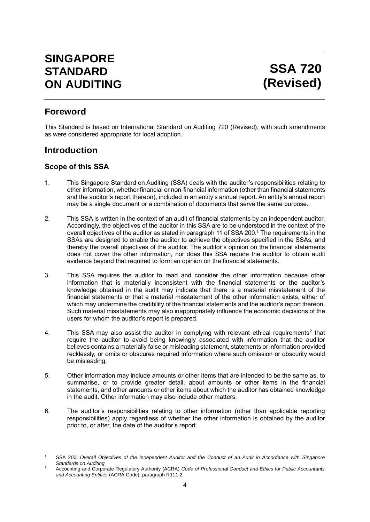# **SINGAPORE STANDARD ON AUDITING**

**SSA 720 (Revised)**

# **Foreword**

This Standard is based on International Standard on Auditing 720 (Revised), with such amendments as were considered appropriate for local adoption.

# **Introduction**

# **Scope of this SSA**

- 1. This Singapore Standard on Auditing (SSA) deals with the auditor's responsibilities relating to other information, whether financial or non-financial information (other than financial statements and the auditor's report thereon), included in an entity's annual report. An entity's annual report may be a single document or a combination of documents that serve the same purpose.
- 2. This SSA is written in the context of an audit of financial statements by an independent auditor. Accordingly, the objectives of the auditor in this SSA are to be understood in the context of the overall objectives of the auditor as stated in paragraph 11 of SSA 200.<sup>1</sup> The requirements in the SSAs are designed to enable the auditor to achieve the objectives specified in the SSAs, and thereby the overall objectives of the auditor. The auditor's opinion on the financial statements does not cover the other information, nor does this SSA require the auditor to obtain audit evidence beyond that required to form an opinion on the financial statements.
- 3. This SSA requires the auditor to read and consider the other information because other information that is materially inconsistent with the financial statements or the auditor's knowledge obtained in the audit may indicate that there is a material misstatement of the financial statements or that a material misstatement of the other information exists, either of which may undermine the credibility of the financial statements and the auditor's report thereon. Such material misstatements may also inappropriately influence the economic decisions of the users for whom the auditor's report is prepared.
- 4. This SSA may also assist the auditor in complying with relevant ethical requirements<sup>2</sup> that require the auditor to avoid being knowingly associated with information that the auditor believes contains a materially false or misleading statement, statements or information provided recklessly, or omits or obscures required information where such omission or obscurity would be misleading.
- 5. Other information may include amounts or other items that are intended to be the same as, to summarise, or to provide greater detail, about amounts or other items in the financial statements, and other amounts or other items about which the auditor has obtained knowledge in the audit. Other information may also include other matters.
- 6. The auditor's responsibilities relating to other information (other than applicable reporting responsibilities) apply regardless of whether the other information is obtained by the auditor prior to, or after, the date of the auditor's report.

<sup>1</sup> SSA 200, *Overall Objectives of the Independent Auditor and the Conduct of an Audit in Accordance with Singapore Standards on Auditing*

<sup>2</sup> Accounting and Corporate Regulatory Authority (ACRA) *Code of Professional Conduct and Ethics for Public Accountants and Accounting Entities* (ACRA Code)*,* paragraph R111.2.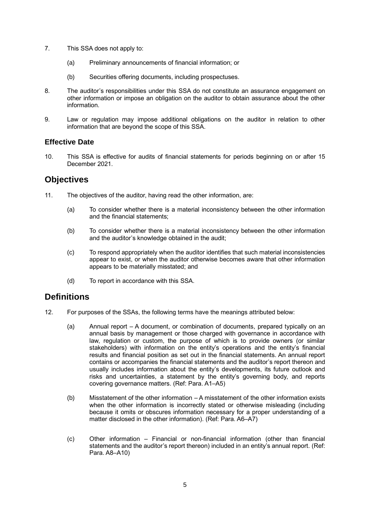- 7. This SSA does not apply to:
	- (a) Preliminary announcements of financial information; or
	- (b) Securities offering documents, including prospectuses.
- 8. The auditor's responsibilities under this SSA do not constitute an assurance engagement on other information or impose an obligation on the auditor to obtain assurance about the other information.
- 9. Law or regulation may impose additional obligations on the auditor in relation to other information that are beyond the scope of this SSA.

## **Effective Date**

10. This SSA is effective for audits of financial statements for periods beginning on or after 15 December 2021.

# **Objectives**

- 11. The objectives of the auditor, having read the other information, are:
	- (a) To consider whether there is a material inconsistency between the other information and the financial statements;
	- (b) To consider whether there is a material inconsistency between the other information and the auditor's knowledge obtained in the audit;
	- (c) To respond appropriately when the auditor identifies that such material inconsistencies appear to exist, or when the auditor otherwise becomes aware that other information appears to be materially misstated; and
	- (d) To report in accordance with this SSA.

# **Definitions**

- 12. For purposes of the SSAs, the following terms have the meanings attributed below:
	- (a) Annual report A document, or combination of documents, prepared typically on an annual basis by management or those charged with governance in accordance with law, regulation or custom, the purpose of which is to provide owners (or similar stakeholders) with information on the entity's operations and the entity's financial results and financial position as set out in the financial statements. An annual report contains or accompanies the financial statements and the auditor's report thereon and usually includes information about the entity's developments, its future outlook and risks and uncertainties, a statement by the entity's governing body, and reports covering governance matters. (Ref: Para. A1–A5)
	- (b) Misstatement of the other information A misstatement of the other information exists when the other information is incorrectly stated or otherwise misleading (including because it omits or obscures information necessary for a proper understanding of a matter disclosed in the other information). (Ref: Para. A6–A7)
	- (c) Other information Financial or non-financial information (other than financial statements and the auditor's report thereon) included in an entity's annual report. (Ref: Para. A8–A10)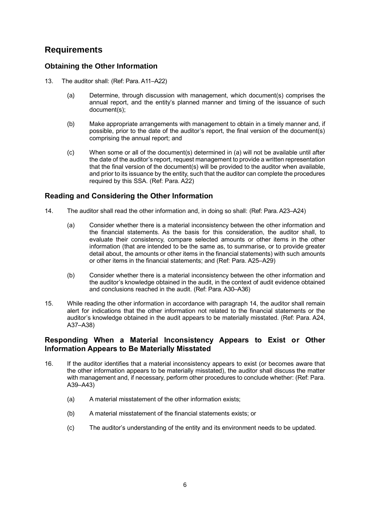# **Requirements**

# **Obtaining the Other Information**

- 13. The auditor shall: (Ref: Para. A11–A22)
	- (a) Determine, through discussion with management, which document(s) comprises the annual report, and the entity's planned manner and timing of the issuance of such document(s);
	- (b) Make appropriate arrangements with management to obtain in a timely manner and, if possible, prior to the date of the auditor's report, the final version of the document(s) comprising the annual report; and
	- (c) When some or all of the document(s) determined in (a) will not be available until after the date of the auditor's report, request management to provide a written representation that the final version of the document(s) will be provided to the auditor when available, and prior to its issuance by the entity, such that the auditor can complete the procedures required by this SSA. (Ref: Para. A22)

# **Reading and Considering the Other Information**

- 14. The auditor shall read the other information and, in doing so shall: (Ref: Para. A23–A24)
	- (a) Consider whether there is a material inconsistency between the other information and the financial statements. As the basis for this consideration, the auditor shall, to evaluate their consistency, compare selected amounts or other items in the other information (that are intended to be the same as, to summarise, or to provide greater detail about, the amounts or other items in the financial statements) with such amounts or other items in the financial statements; and (Ref: Para. A25–A29)
	- (b) Consider whether there is a material inconsistency between the other information and the auditor's knowledge obtained in the audit, in the context of audit evidence obtained and conclusions reached in the audit. (Ref: Para. A30–A36)
- 15. While reading the other information in accordance with paragraph 14, the auditor shall remain alert for indications that the other information not related to the financial statements or the auditor's knowledge obtained in the audit appears to be materially misstated. (Ref: Para. A24, A37–A38)

# **Responding When a Material Inconsistency Appears to Exist or Other Information Appears to Be Materially Misstated**

- 16. If the auditor identifies that a material inconsistency appears to exist (or becomes aware that the other information appears to be materially misstated), the auditor shall discuss the matter with management and, if necessary, perform other procedures to conclude whether: (Ref: Para. A39–A43)
	- (a) A material misstatement of the other information exists;
	- (b) A material misstatement of the financial statements exists; or
	- (c) The auditor's understanding of the entity and its environment needs to be updated.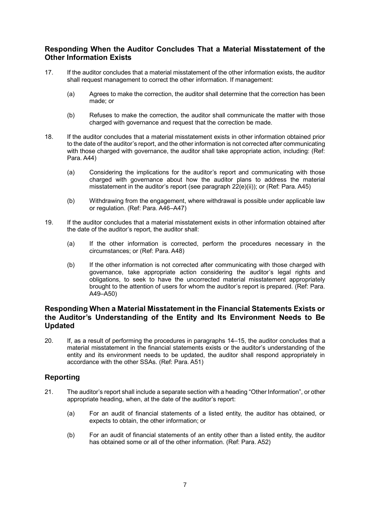## **Responding When the Auditor Concludes That a Material Misstatement of the Other Information Exists**

- 17. If the auditor concludes that a material misstatement of the other information exists, the auditor shall request management to correct the other information. If management:
	- (a) Agrees to make the correction, the auditor shall determine that the correction has been made; or
	- (b) Refuses to make the correction, the auditor shall communicate the matter with those charged with governance and request that the correction be made.
- 18. If the auditor concludes that a material misstatement exists in other information obtained prior to the date of the auditor's report, and the other information is not corrected after communicating with those charged with governance, the auditor shall take appropriate action, including: (Ref: Para. A44)
	- (a) Considering the implications for the auditor's report and communicating with those charged with governance about how the auditor plans to address the material misstatement in the auditor's report (see paragraph 22(e)(ii)); or (Ref: Para. A45)
	- (b) Withdrawing from the engagement, where withdrawal is possible under applicable law or regulation. (Ref: Para. A46–A47)
- 19. If the auditor concludes that a material misstatement exists in other information obtained after the date of the auditor's report, the auditor shall:
	- (a) If the other information is corrected, perform the procedures necessary in the circumstances; or (Ref: Para. A48)
	- (b) If the other information is not corrected after communicating with those charged with governance, take appropriate action considering the auditor's legal rights and obligations, to seek to have the uncorrected material misstatement appropriately brought to the attention of users for whom the auditor's report is prepared. (Ref: Para. A49–A50)

## **Responding When a Material Misstatement in the Financial Statements Exists or the Auditor's Understanding of the Entity and Its Environment Needs to Be Updated**

20. If, as a result of performing the procedures in paragraphs 14–15, the auditor concludes that a material misstatement in the financial statements exists or the auditor's understanding of the entity and its environment needs to be updated, the auditor shall respond appropriately in accordance with the other SSAs. (Ref: Para. A51)

# **Reporting**

- 21. The auditor's report shall include a separate section with a heading "Other Information", or other appropriate heading, when, at the date of the auditor's report:
	- (a) For an audit of financial statements of a listed entity, the auditor has obtained, or expects to obtain, the other information; or
	- (b) For an audit of financial statements of an entity other than a listed entity, the auditor has obtained some or all of the other information. (Ref: Para. A52)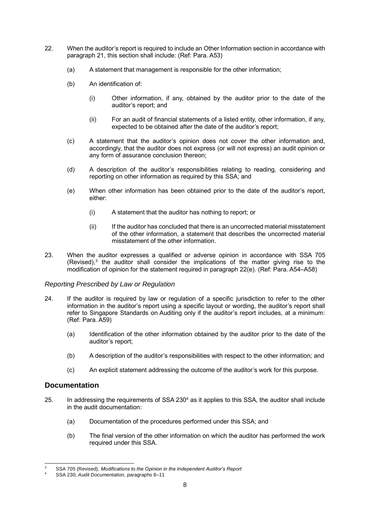- 22. When the auditor's report is required to include an Other Information section in accordance with paragraph 21, this section shall include: (Ref: Para. A53)
	- (a) A statement that management is responsible for the other information;
	- (b) An identification of:
		- (i) Other information, if any, obtained by the auditor prior to the date of the auditor's report; and
		- (ii) For an audit of financial statements of a listed entity, other information, if any, expected to be obtained after the date of the auditor's report;
	- (c) A statement that the auditor's opinion does not cover the other information and, accordingly, that the auditor does not express (or will not express) an audit opinion or any form of assurance conclusion thereon;
	- (d) A description of the auditor's responsibilities relating to reading, considering and reporting on other information as required by this SSA; and
	- (e) When other information has been obtained prior to the date of the auditor's report, either:
		- (i) A statement that the auditor has nothing to report; or
		- (ii) If the auditor has concluded that there is an uncorrected material misstatement of the other information, a statement that describes the uncorrected material misstatement of the other information.
- 23. When the auditor expresses a qualified or adverse opinion in accordance with SSA 705 (Revised), $3$  the auditor shall consider the implications of the matter giving rise to the modification of opinion for the statement required in paragraph 22(e). (Ref: Para. A54–A58)

## *Reporting Prescribed by Law or Regulation*

- 24. If the auditor is required by law or regulation of a specific jurisdiction to refer to the other information in the auditor's report using a specific layout or wording, the auditor's report shall refer to Singapore Standards on Auditing only if the auditor's report includes, at a minimum: (Ref: Para. A59)
	- (a) Identification of the other information obtained by the auditor prior to the date of the auditor's report;
	- (b) A description of the auditor's responsibilities with respect to the other information; and
	- (c) An explicit statement addressing the outcome of the auditor's work for this purpose.

## **Documentation**

- 25. In addressing the requirements of  $SSA 230<sup>4</sup>$  as it applies to this SSA, the auditor shall include in the audit documentation:
	- (a) Documentation of the procedures performed under this SSA; and
	- (b) The final version of the other information on which the auditor has performed the work required under this SSA.

<sup>3</sup> SSA 705 (Revised), *Modifications to the Opinion in the Independent Auditor's Report*

<sup>4</sup> SSA 230, *Audit Documentation,* paragraphs 8–11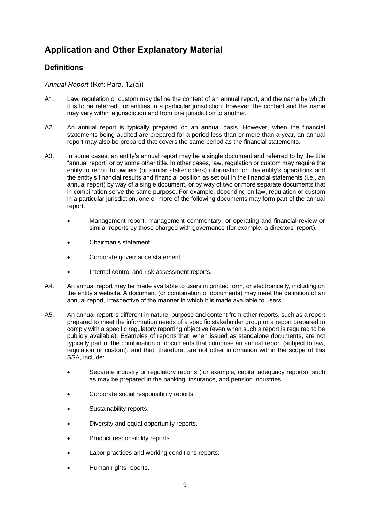# **Application and Other Explanatory Material**

# **Definitions**

## *Annual Report* (Ref: Para. 12(a))

- A1. Law, regulation or custom may define the content of an annual report, and the name by which it is to be referred, for entities in a particular jurisdiction; however, the content and the name may vary within a jurisdiction and from one jurisdiction to another.
- A2. An annual report is typically prepared on an annual basis. However, when the financial statements being audited are prepared for a period less than or more than a year, an annual report may also be prepared that covers the same period as the financial statements.
- A3. In some cases, an entity's annual report may be a single document and referred to by the title "annual report" or by some other title. In other cases, law, regulation or custom may require the entity to report to owners (or similar stakeholders) information on the entity's operations and the entity's financial results and financial position as set out in the financial statements (i.e., an annual report) by way of a single document, or by way of two or more separate documents that in combination serve the same purpose. For example, depending on law, regulation or custom in a particular jurisdiction, one or more of the following documents may form part of the annual report:
	- Management report, management commentary, or operating and financial review or similar reports by those charged with governance (for example, a directors' report).
	- Chairman's statement.
	- Corporate governance statement.
	- Internal control and risk assessment reports.
- A4. An annual report may be made available to users in printed form, or electronically, including on the entity's website. A document (or combination of documents) may meet the definition of an annual report, irrespective of the manner in which it is made available to users.
- A5. An annual report is different in nature, purpose and content from other reports, such as a report prepared to meet the information needs of a specific stakeholder group or a report prepared to comply with a specific regulatory reporting objective (even when such a report is required to be publicly available). Examples of reports that, when issued as standalone documents, are not typically part of the combination of documents that comprise an annual report (subject to law, regulation or custom), and that, therefore, are not other information within the scope of this SSA, include:
	- Separate industry or regulatory reports (for example, capital adequacy reports), such as may be prepared in the banking, insurance, and pension industries.
	- Corporate social responsibility reports.
	- Sustainability reports.
	- Diversity and equal opportunity reports.
	- Product responsibility reports.
	- Labor practices and working conditions reports.
	- Human rights reports.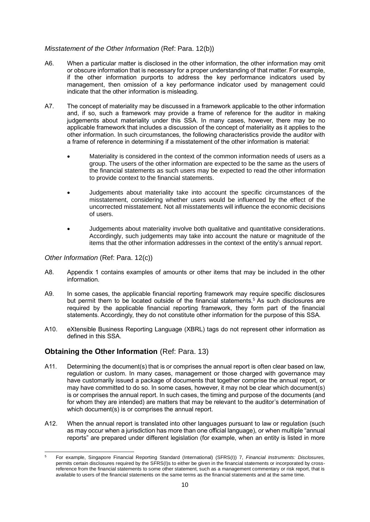## *Misstatement of the Other Information* (Ref: Para. 12(b))

- A6. When a particular matter is disclosed in the other information, the other information may omit or obscure information that is necessary for a proper understanding of that matter. For example, if the other information purports to address the key performance indicators used by management, then omission of a key performance indicator used by management could indicate that the other information is misleading.
- A7. The concept of materiality may be discussed in a framework applicable to the other information and, if so, such a framework may provide a frame of reference for the auditor in making judgements about materiality under this SSA. In many cases, however, there may be no applicable framework that includes a discussion of the concept of materiality as it applies to the other information. In such circumstances, the following characteristics provide the auditor with a frame of reference in determining if a misstatement of the other information is material:
	- Materiality is considered in the context of the common information needs of users as a group. The users of the other information are expected to be the same as the users of the financial statements as such users may be expected to read the other information to provide context to the financial statements.
	- Judgements about materiality take into account the specific circumstances of the misstatement, considering whether users would be influenced by the effect of the uncorrected misstatement. Not all misstatements will influence the economic decisions of users.
	- Judgements about materiality involve both qualitative and quantitative considerations. Accordingly, such judgements may take into account the nature or magnitude of the items that the other information addresses in the context of the entity's annual report.

## *Other Information* (Ref: Para. 12(c))

- A8. Appendix 1 contains examples of amounts or other items that may be included in the other information.
- A9. In some cases, the applicable financial reporting framework may require specific disclosures but permit them to be located outside of the financial statements.<sup>5</sup> As such disclosures are required by the applicable financial reporting framework, they form part of the financial statements. Accordingly, they do not constitute other information for the purpose of this SSA.
- A10. eXtensible Business Reporting Language (XBRL) tags do not represent other information as defined in this SSA.

# **Obtaining the Other Information** (Ref: Para. 13)

- A11. Determining the document(s) that is or comprises the annual report is often clear based on law, regulation or custom. In many cases, management or those charged with governance may have customarily issued a package of documents that together comprise the annual report, or may have committed to do so. In some cases, however, it may not be clear which document(s) is or comprises the annual report. In such cases, the timing and purpose of the documents (and for whom they are intended) are matters that may be relevant to the auditor's determination of which document(s) is or comprises the annual report.
- A12. When the annual report is translated into other languages pursuant to law or regulation (such as may occur when a jurisdiction has more than one official language), or when multiple "annual reports" are prepared under different legislation (for example, when an entity is listed in more

<sup>5</sup> For example, Singapore Financial Reporting Standard (International) (SFRS(I)) 7, *Financial Instruments: Disclosures,*  permits certain disclosures required by the SFRS(I)s to either be given in the financial statements or incorporated by crossreference from the financial statements to some other statement, such as a management commentary or risk report, that is available to users of the financial statements on the same terms as the financial statements and at the same time.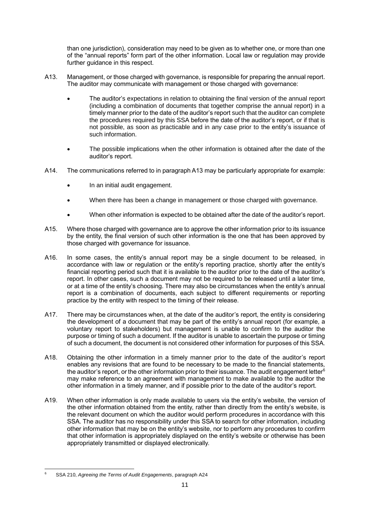than one jurisdiction), consideration may need to be given as to whether one, or more than one of the "annual reports" form part of the other information. Local law or regulation may provide further quidance in this respect.

- A13. Management, or those charged with governance, is responsible for preparing the annual report. The auditor may communicate with management or those charged with governance:
	- The auditor's expectations in relation to obtaining the final version of the annual report (including a combination of documents that together comprise the annual report) in a timely manner prior to the date of the auditor's report such that the auditor can complete the procedures required by this SSA before the date of the auditor's report, or if that is not possible, as soon as practicable and in any case prior to the entity's issuance of such information.
	- The possible implications when the other information is obtained after the date of the auditor's report.
- A14. The communications referred to in paragraph A13 may be particularly appropriate for example:
	- In an initial audit engagement.
	- When there has been a change in management or those charged with governance.
	- When other information is expected to be obtained after the date of the auditor's report.
- A15. Where those charged with governance are to approve the other information prior to its issuance by the entity, the final version of such other information is the one that has been approved by those charged with governance for issuance.
- A16. In some cases, the entity's annual report may be a single document to be released, in accordance with law or regulation or the entity's reporting practice, shortly after the entity's financial reporting period such that it is available to the auditor prior to the date of the auditor's report. In other cases, such a document may not be required to be released until a later time, or at a time of the entity's choosing. There may also be circumstances when the entity's annual report is a combination of documents, each subject to different requirements or reporting practice by the entity with respect to the timing of their release.
- A17. There may be circumstances when, at the date of the auditor's report, the entity is considering the development of a document that may be part of the entity's annual report (for example, a voluntary report to stakeholders) but management is unable to confirm to the auditor the purpose or timing of such a document. If the auditor is unable to ascertain the purpose or timing of such a document, the document is not considered other information for purposes of this SSA.
- A18. Obtaining the other information in a timely manner prior to the date of the auditor's report enables any revisions that are found to be necessary to be made to the financial statements, the auditor's report, or the other information prior to their issuance. The audit engagement letter<sup>6</sup> may make reference to an agreement with management to make available to the auditor the other information in a timely manner, and if possible prior to the date of the auditor's report.
- A19. When other information is only made available to users via the entity's website, the version of the other information obtained from the entity, rather than directly from the entity's website, is the relevant document on which the auditor would perform procedures in accordance with this SSA. The auditor has no responsibility under this SSA to search for other information, including other information that may be on the entity's website, nor to perform any procedures to confirm that other information is appropriately displayed on the entity's website or otherwise has been appropriately transmitted or displayed electronically.

<sup>6</sup> SSA 210, *Agreeing the Terms of Audit Engagements*, paragraph A24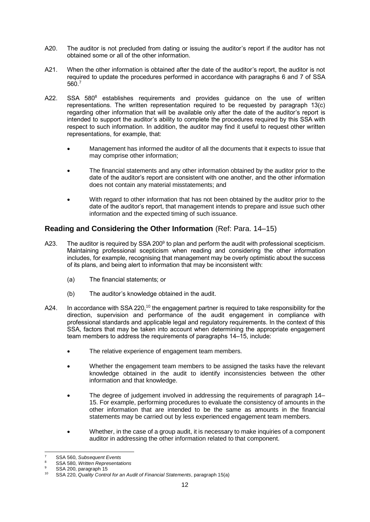- A20. The auditor is not precluded from dating or issuing the auditor's report if the auditor has not obtained some or all of the other information.
- A21. When the other information is obtained after the date of the auditor's report, the auditor is not required to update the procedures performed in accordance with paragraphs 6 and 7 of SSA 560.<sup>7</sup>
- A22. SSA 580<sup>8</sup> establishes requirements and provides guidance on the use of written representations. The written representation required to be requested by paragraph 13(c) regarding other information that will be available only after the date of the auditor's report is intended to support the auditor's ability to complete the procedures required by this SSA with respect to such information. In addition, the auditor may find it useful to request other written representations, for example, that:
	- Management has informed the auditor of all the documents that it expects to issue that may comprise other information;
	- The financial statements and any other information obtained by the auditor prior to the date of the auditor's report are consistent with one another, and the other information does not contain any material misstatements; and
	- With regard to other information that has not been obtained by the auditor prior to the date of the auditor's report, that management intends to prepare and issue such other information and the expected timing of such issuance.

# **Reading and Considering the Other Information** (Ref: Para. 14–15)

- A23. The auditor is required by SSA 200 $9$  to plan and perform the audit with professional scepticism. Maintaining professional scepticism when reading and considering the other information includes, for example, recognising that management may be overly optimistic about the success of its plans, and being alert to information that may be inconsistent with:
	- (a) The financial statements; or
	- (b) The auditor's knowledge obtained in the audit.
- A24. In accordance with SSA 220,<sup>10</sup> the engagement partner is required to take responsibility for the direction, supervision and performance of the audit engagement in compliance with professional standards and applicable legal and regulatory requirements. In the context of this SSA, factors that may be taken into account when determining the appropriate engagement team members to address the requirements of paragraphs 14–15, include:
	- The relative experience of engagement team members.
	- Whether the engagement team members to be assigned the tasks have the relevant knowledge obtained in the audit to identify inconsistencies between the other information and that knowledge.
	- The degree of judgement involved in addressing the requirements of paragraph 14– 15. For example, performing procedures to evaluate the consistency of amounts in the other information that are intended to be the same as amounts in the financial statements may be carried out by less experienced engagement team members.
	- Whether, in the case of a group audit, it is necessary to make inquiries of a component auditor in addressing the other information related to that component.

<sup>7</sup> SSA 560, *Subsequent Events*

<sup>8</sup> SSA 580, *Written Representations*

SSA 200, paragraph 15

<sup>10</sup> SSA 220, *Quality Control for an Audit of Financial Statements*, paragraph 15(a)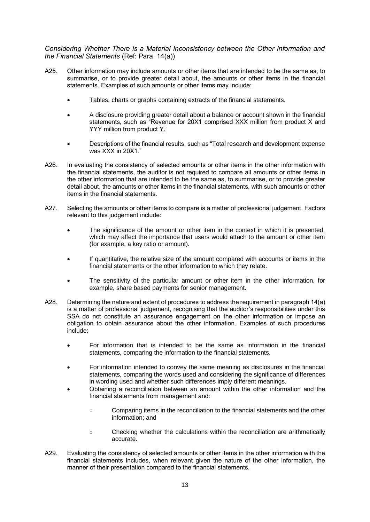*Considering Whether There is a Material Inconsistency between the Other Information and the Financial Statements* (Ref: Para. 14(a))

- A25. Other information may include amounts or other items that are intended to be the same as, to summarise, or to provide greater detail about, the amounts or other items in the financial statements. Examples of such amounts or other items may include:
	- Tables, charts or graphs containing extracts of the financial statements.
	- A disclosure providing greater detail about a balance or account shown in the financial statements, such as "Revenue for 20X1 comprised XXX million from product X and YYY million from product Y."
	- Descriptions of the financial results, such as "Total research and development expense was XXX in 20X1."
- A26. In evaluating the consistency of selected amounts or other items in the other information with the financial statements, the auditor is not required to compare all amounts or other items in the other information that are intended to be the same as, to summarise, or to provide greater detail about, the amounts or other items in the financial statements, with such amounts or other items in the financial statements.
- A27. Selecting the amounts or other items to compare is a matter of professional judgement. Factors relevant to this judgement include:
	- The significance of the amount or other item in the context in which it is presented. which may affect the importance that users would attach to the amount or other item (for example, a key ratio or amount).
	- If quantitative, the relative size of the amount compared with accounts or items in the financial statements or the other information to which they relate.
	- The sensitivity of the particular amount or other item in the other information, for example, share based payments for senior management.
- A28. Determining the nature and extent of procedures to address the requirement in paragraph 14(a) is a matter of professional judgement, recognising that the auditor's responsibilities under this SSA do not constitute an assurance engagement on the other information or impose an obligation to obtain assurance about the other information. Examples of such procedures include:
	- For information that is intended to be the same as information in the financial statements, comparing the information to the financial statements.
	- For information intended to convey the same meaning as disclosures in the financial statements, comparing the words used and considering the significance of differences in wording used and whether such differences imply different meanings.
	- Obtaining a reconciliation between an amount within the other information and the financial statements from management and:
		- Comparing items in the reconciliation to the financial statements and the other information; and
		- Checking whether the calculations within the reconciliation are arithmetically accurate.
- A29. Evaluating the consistency of selected amounts or other items in the other information with the financial statements includes, when relevant given the nature of the other information, the manner of their presentation compared to the financial statements.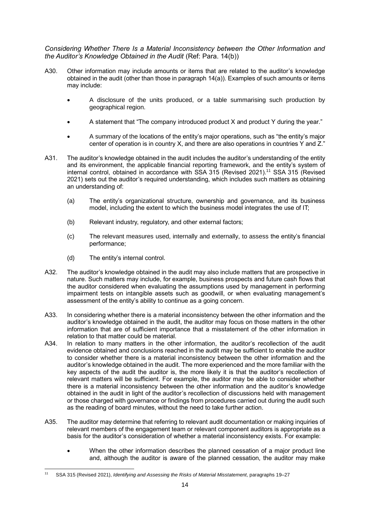*Considering Whether There Is a Material Inconsistency between the Other Information and the Auditor's Knowledge Obtained in the Audit* (Ref: Para. 14(b))

- A30. Other information may include amounts or items that are related to the auditor's knowledge obtained in the audit (other than those in paragraph 14(a)). Examples of such amounts or items may include:
	- A disclosure of the units produced, or a table summarising such production by geographical region.
	- A statement that "The company introduced product X and product Y during the year."
	- A summary of the locations of the entity's major operations, such as "the entity's major center of operation is in country X, and there are also operations in countries  $\Upsilon$  and  $\overline{Z}$ ."
- A31. The auditor's knowledge obtained in the audit includes the auditor's understanding of the entity and its environment, the applicable financial reporting framework, and the entity's system of internal control, obtained in accordance with SSA 315 (Revised 2021).<sup>11</sup> SSA 315 (Revised 2021) sets out the auditor's required understanding, which includes such matters as obtaining an understanding of:
	- (a) The entity's organizational structure, ownership and governance, and its business model, including the extent to which the business model integrates the use of IT;
	- (b) Relevant industry, regulatory, and other external factors;
	- (c) The relevant measures used, internally and externally, to assess the entity's financial performance;
	- (d) The entity's internal control.
- A32. The auditor's knowledge obtained in the audit may also include matters that are prospective in nature. Such matters may include, for example, business prospects and future cash flows that the auditor considered when evaluating the assumptions used by management in performing impairment tests on intangible assets such as goodwill, or when evaluating management's assessment of the entity's ability to continue as a going concern.
- A33. In considering whether there is a material inconsistency between the other information and the auditor's knowledge obtained in the audit, the auditor may focus on those matters in the other information that are of sufficient importance that a misstatement of the other information in relation to that matter could be material.
- A34. In relation to many matters in the other information, the auditor's recollection of the audit evidence obtained and conclusions reached in the audit may be sufficient to enable the auditor to consider whether there is a material inconsistency between the other information and the auditor's knowledge obtained in the audit. The more experienced and the more familiar with the key aspects of the audit the auditor is, the more likely it is that the auditor's recollection of relevant matters will be sufficient. For example, the auditor may be able to consider whether there is a material inconsistency between the other information and the auditor's knowledge obtained in the audit in light of the auditor's recollection of discussions held with management or those charged with governance or findings from procedures carried out during the audit such as the reading of board minutes, without the need to take further action.
- A35. The auditor may determine that referring to relevant audit documentation or making inquiries of relevant members of the engagement team or relevant component auditors is appropriate as a basis for the auditor's consideration of whether a material inconsistency exists. For example:
	- When the other information describes the planned cessation of a major product line and, although the auditor is aware of the planned cessation, the auditor may make

<sup>11</sup> SSA 315 (Revised 2021), *Identifying and Assessing the Risks of Material Misstatement,* paragraphs 19–27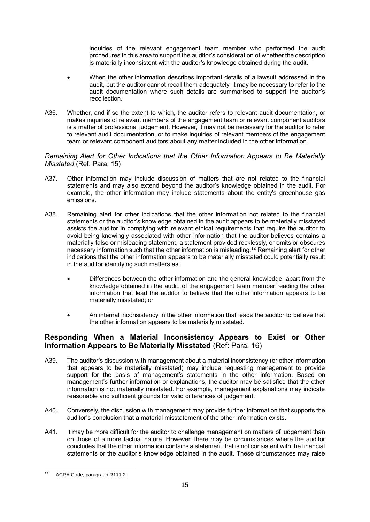inquiries of the relevant engagement team member who performed the audit procedures in this area to support the auditor's consideration of whether the description is materially inconsistent with the auditor's knowledge obtained during the audit.

- When the other information describes important details of a lawsuit addressed in the audit, but the auditor cannot recall them adequately, it may be necessary to refer to the audit documentation where such details are summarised to support the auditor's recollection.
- A36. Whether, and if so the extent to which, the auditor refers to relevant audit documentation, or makes inquiries of relevant members of the engagement team or relevant component auditors is a matter of professional judgement. However, it may not be necessary for the auditor to refer to relevant audit documentation, or to make inquiries of relevant members of the engagement team or relevant component auditors about any matter included in the other information.

*Remaining Alert for Other Indications that the Other Information Appears to Be Materially Misstated* (Ref: Para. 15)

- A37. Other information may include discussion of matters that are not related to the financial statements and may also extend beyond the auditor's knowledge obtained in the audit. For example, the other information may include statements about the entity's greenhouse gas emissions.
- A38. Remaining alert for other indications that the other information not related to the financial statements or the auditor's knowledge obtained in the audit appears to be materially misstated assists the auditor in complying with relevant ethical requirements that require the auditor to avoid being knowingly associated with other information that the auditor believes contains a materially false or misleading statement, a statement provided recklessly, or omits or obscures necessary information such that the other information is misleading.<sup>12</sup> Remaining alert for other indications that the other information appears to be materially misstated could potentially result in the auditor identifying such matters as:
	- Differences between the other information and the general knowledge, apart from the knowledge obtained in the audit, of the engagement team member reading the other information that lead the auditor to believe that the other information appears to be materially misstated; or
	- An internal inconsistency in the other information that leads the auditor to believe that the other information appears to be materially misstated.

## **Responding When a Material Inconsistency Appears to Exist or Other Information Appears to Be Materially Misstated** (Ref: Para. 16)

- A39. The auditor's discussion with management about a material inconsistency (or other information that appears to be materially misstated) may include requesting management to provide support for the basis of management's statements in the other information. Based on management's further information or explanations, the auditor may be satisfied that the other information is not materially misstated. For example, management explanations may indicate reasonable and sufficient grounds for valid differences of judgement.
- A40. Conversely, the discussion with management may provide further information that supports the auditor's conclusion that a material misstatement of the other information exists.
- A41. It may be more difficult for the auditor to challenge management on matters of judgement than on those of a more factual nature. However, there may be circumstances where the auditor concludes that the other information contains a statement that is not consistent with the financial statements or the auditor's knowledge obtained in the audit. These circumstances may raise

ACRA Code, paragraph R111.2.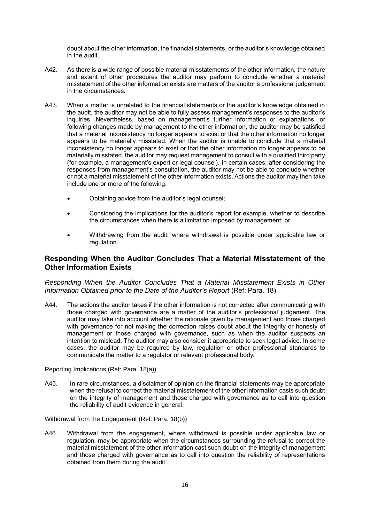doubt about the other information, the financial statements, or the auditor's knowledge obtained in the audit.

- A42. As there is a wide range of possible material misstatements of the other information, the nature and extent of other procedures the auditor may perform to conclude whether a material misstatement of the other information exists are matters of the auditor's professional judgement in the circumstances.
- A43. When a matter is unrelated to the financial statements or the auditor's knowledge obtained in the audit, the auditor may not be able to fully assess management's responses to the auditor's inquiries. Nevertheless, based on management's further information or explanations, or following changes made by management to the other information, the auditor may be satisfied that a material inconsistency no longer appears to exist or that the other information no longer appears to be materially misstated. When the auditor is unable to conclude that a material inconsistency no longer appears to exist or that the other information no longer appears to be materially misstated, the auditor may request management to consult with a qualified third party (for example, a management's expert or legal counsel). In certain cases, after considering the responses from management's consultation, the auditor may not be able to conclude whether or not a material misstatement of the other information exists. Actions the auditor may then take include one or more of the following:
	- Obtaining advice from the auditor's legal counsel;
	- Considering the implications for the auditor's report for example, whether to describe the circumstances when there is a limitation imposed by management; or
	- Withdrawing from the audit, where withdrawal is possible under applicable law or regulation.

## **Responding When the Auditor Concludes That a Material Misstatement of the Other Information Exists**

*Responding When the Auditor Concludes That a Material Misstatement Exists in Other Information Obtained prior to the Date of the Auditor's Report* (Ref: Para. 18)

A44. The actions the auditor takes if the other information is not corrected after communicating with those charged with governance are a matter of the auditor's professional judgement. The auditor may take into account whether the rationale given by management and those charged with governance for not making the correction raises doubt about the integrity or honesty of management or those charged with governance, such as when the auditor suspects an intention to mislead. The auditor may also consider it appropriate to seek legal advice. In some cases, the auditor may be required by law, regulation or other professional standards to communicate the matter to a regulator or relevant professional body.

Reporting Implications (Ref: Para. 18(a))

A45. In rare circumstances, a disclaimer of opinion on the financial statements may be appropriate when the refusal to correct the material misstatement of the other information casts such doubt on the integrity of management and those charged with governance as to call into question the reliability of audit evidence in general.

Withdrawal from the Engagement (Ref: Para. 18(b))

A46. Withdrawal from the engagement, where withdrawal is possible under applicable law or regulation, may be appropriate when the circumstances surrounding the refusal to correct the material misstatement of the other information cast such doubt on the integrity of management and those charged with governance as to call into question the reliability of representations obtained from them during the audit.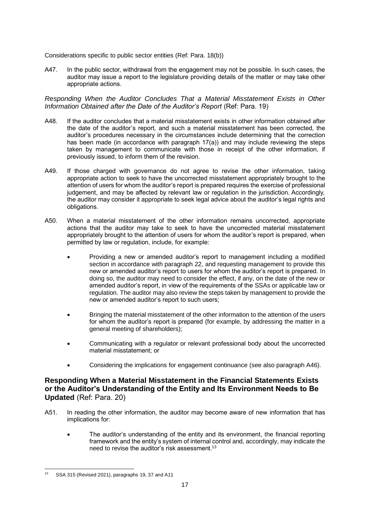Considerations specific to public sector entities (Ref: Para. 18(b))

A47. In the public sector, withdrawal from the engagement may not be possible. In such cases, the auditor may issue a report to the legislature providing details of the matter or may take other appropriate actions.

*Responding When the Auditor Concludes That a Material Misstatement Exists in Other Information Obtained after the Date of the Auditor's Report* (Ref: Para. 19)

- A48. If the auditor concludes that a material misstatement exists in other information obtained after the date of the auditor's report, and such a material misstatement has been corrected, the auditor's procedures necessary in the circumstances include determining that the correction has been made (in accordance with paragraph 17(a)) and may include reviewing the steps taken by management to communicate with those in receipt of the other information, if previously issued, to inform them of the revision.
- A49. If those charged with governance do not agree to revise the other information, taking appropriate action to seek to have the uncorrected misstatement appropriately brought to the attention of users for whom the auditor's report is prepared requires the exercise of professional judgement, and may be affected by relevant law or regulation in the jurisdiction. Accordingly, the auditor may consider it appropriate to seek legal advice about the auditor's legal rights and obligations.
- A50. When a material misstatement of the other information remains uncorrected, appropriate actions that the auditor may take to seek to have the uncorrected material misstatement appropriately brought to the attention of users for whom the auditor's report is prepared, when permitted by law or regulation, include, for example:
	- Providing a new or amended auditor's report to management including a modified section in accordance with paragraph 22, and requesting management to provide this new or amended auditor's report to users for whom the auditor's report is prepared. In doing so, the auditor may need to consider the effect, if any, on the date of the new or amended auditor's report, in view of the requirements of the SSAs or applicable law or regulation. The auditor may also review the steps taken by management to provide the new or amended auditor's report to such users;
	- Bringing the material misstatement of the other information to the attention of the users for whom the auditor's report is prepared (for example, by addressing the matter in a general meeting of shareholders);
	- Communicating with a regulator or relevant professional body about the uncorrected material misstatement; or
	- Considering the implications for engagement continuance (see also paragraph A46).

## **Responding When a Material Misstatement in the Financial Statements Exists or the Auditor's Understanding of the Entity and Its Environment Needs to Be Updated** (Ref: Para. 20)

- A51. In reading the other information, the auditor may become aware of new information that has implications for:
	- The auditor's understanding of the entity and its environment, the financial reporting framework and the entity's system of internal control and, accordingly, may indicate the need to revise the auditor's risk assessment.<sup>13</sup>

<sup>13</sup> SSA 315 (Revised 2021), paragraphs 19, 37 and A11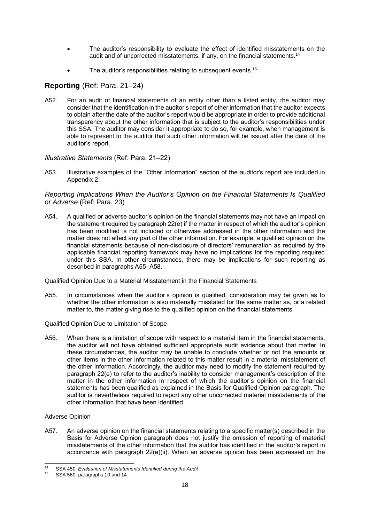- The auditor's responsibility to evaluate the effect of identified misstatements on the audit and of uncorrected misstatements, if any, on the financial statements.<sup>14</sup>
- The auditor's responsibilities relating to subsequent events.<sup>15</sup>

# **Reporting** (Ref: Para. 21–24)

A52. For an audit of financial statements of an entity other than a listed entity, the auditor may consider that the identification in the auditor's report of other information that the auditor expects to obtain after the date of the auditor's report would be appropriate in order to provide additional transparency about the other information that is subject to the auditor's responsibilities under this SSA. The auditor may consider it appropriate to do so, for example, when management is able to represent to the auditor that such other information will be issued after the date of the auditor's report.

## *Illustrative Statements* (Ref: Para. 21–22)

A53. Illustrative examples of the "Other Information" section of the auditor's report are included in Appendix 2.

## *Reporting Implications When the Auditor's Opinion on the Financial Statements Is Qualified or Adverse* (Ref: Para. 23)

A54. A qualified or adverse auditor's opinion on the financial statements may not have an impact on the statement required by paragraph 22(e) if the matter in respect of which the auditor's opinion has been modified is not included or otherwise addressed in the other information and the matter does not affect any part of the other information. For example, a qualified opinion on the financial statements because of non-disclosure of directors' remuneration as required by the applicable financial reporting framework may have no implications for the reporting required under this SSA. In other circumstances, there may be implications for such reporting as described in paragraphs A55–A58.

Qualified Opinion Due to a Material Misstatement in the Financial Statements

A55. In circumstances when the auditor's opinion is qualified, consideration may be given as to whether the other information is also materially misstated for the same matter as, or a related matter to, the matter giving rise to the qualified opinion on the financial statements.

Qualified Opinion Due to Limitation of Scope

A56. When there is a limitation of scope with respect to a material item in the financial statements, the auditor will not have obtained sufficient appropriate audit evidence about that matter. In these circumstances, the auditor may be unable to conclude whether or not the amounts or other items in the other information related to this matter result in a material misstatement of the other information. Accordingly, the auditor may need to modify the statement required by paragraph 22(e) to refer to the auditor's inability to consider management's description of the matter in the other information in respect of which the auditor's opinion on the financial statements has been qualified as explained in the Basis for Qualified Opinion paragraph. The auditor is nevertheless required to report any other uncorrected material misstatements of the other information that have been identified.

## Adverse Opinion

A57. An adverse opinion on the financial statements relating to a specific matter(s) described in the Basis for Adverse Opinion paragraph does not justify the omission of reporting of material misstatements of the other information that the auditor has identified in the auditor's report in accordance with paragraph 22(e)(ii). When an adverse opinion has been expressed on the

<sup>14</sup> SSA 450, *Evaluation of Misstatements Identified during the Audit*

SSA 560, paragraphs 10 and 14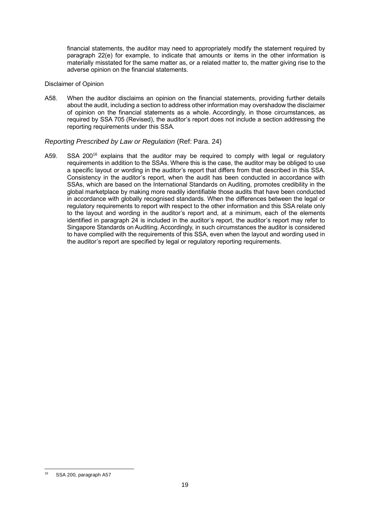financial statements, the auditor may need to appropriately modify the statement required by paragraph 22(e) for example, to indicate that amounts or items in the other information is materially misstated for the same matter as, or a related matter to, the matter giving rise to the adverse opinion on the financial statements.

#### Disclaimer of Opinion

A58. When the auditor disclaims an opinion on the financial statements, providing further details about the audit, including a section to address other information may overshadow the disclaimer of opinion on the financial statements as a whole. Accordingly, in those circumstances, as required by SSA 705 (Revised), the auditor's report does not include a section addressing the reporting requirements under this SSA.

## *Reporting Prescribed by Law or Regulation* (Ref: Para. 24)

A59. SSA 200<sup>16</sup> explains that the auditor may be required to comply with legal or regulatory requirements in addition to the SSAs. Where this is the case, the auditor may be obliged to use a specific layout or wording in the auditor's report that differs from that described in this SSA. Consistency in the auditor's report, when the audit has been conducted in accordance with SSAs, which are based on the International Standards on Auditing, promotes credibility in the global marketplace by making more readily identifiable those audits that have been conducted in accordance with globally recognised standards. When the differences between the legal or regulatory requirements to report with respect to the other information and this SSA relate only to the layout and wording in the auditor's report and, at a minimum, each of the elements identified in paragraph 24 is included in the auditor's report, the auditor's report may refer to Singapore Standards on Auditing. Accordingly, in such circumstances the auditor is considered to have complied with the requirements of this SSA, even when the layout and wording used in the auditor's report are specified by legal or regulatory reporting requirements.

SSA 200, paragraph A57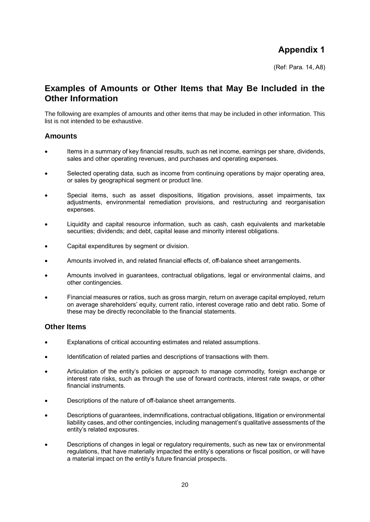# **Appendix 1**

(Ref: Para. 14, A8)

# **Examples of Amounts or Other Items that May Be Included in the Other Information**

The following are examples of amounts and other items that may be included in other information. This list is not intended to be exhaustive.

# **Amounts**

- Items in a summary of key financial results, such as net income, earnings per share, dividends, sales and other operating revenues, and purchases and operating expenses.
- Selected operating data, such as income from continuing operations by major operating area, or sales by geographical segment or product line.
- Special items, such as asset dispositions, litigation provisions, asset impairments, tax adjustments, environmental remediation provisions, and restructuring and reorganisation expenses.
- Liquidity and capital resource information, such as cash, cash equivalents and marketable securities; dividends; and debt, capital lease and minority interest obligations.
- Capital expenditures by segment or division.
- Amounts involved in, and related financial effects of, off-balance sheet arrangements.
- Amounts involved in guarantees, contractual obligations, legal or environmental claims, and other contingencies.
- Financial measures or ratios, such as gross margin, return on average capital employed, return on average shareholders' equity, current ratio, interest coverage ratio and debt ratio. Some of these may be directly reconcilable to the financial statements.

## **Other Items**

- Explanations of critical accounting estimates and related assumptions.
- Identification of related parties and descriptions of transactions with them.
- Articulation of the entity's policies or approach to manage commodity, foreign exchange or interest rate risks, such as through the use of forward contracts, interest rate swaps, or other financial instruments.
- Descriptions of the nature of off-balance sheet arrangements.
- Descriptions of guarantees, indemnifications, contractual obligations, litigation or environmental liability cases, and other contingencies, including management's qualitative assessments of the entity's related exposures.
- Descriptions of changes in legal or regulatory requirements, such as new tax or environmental regulations, that have materially impacted the entity's operations or fiscal position, or will have a material impact on the entity's future financial prospects.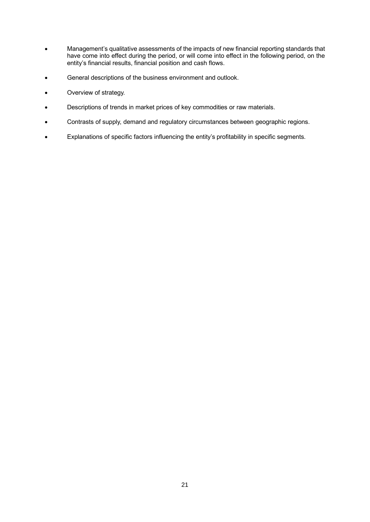- Management's qualitative assessments of the impacts of new financial reporting standards that have come into effect during the period, or will come into effect in the following period, on the entity's financial results, financial position and cash flows.
- General descriptions of the business environment and outlook.
- Overview of strategy.
- Descriptions of trends in market prices of key commodities or raw materials.
- Contrasts of supply, demand and regulatory circumstances between geographic regions.
- Explanations of specific factors influencing the entity's profitability in specific segments.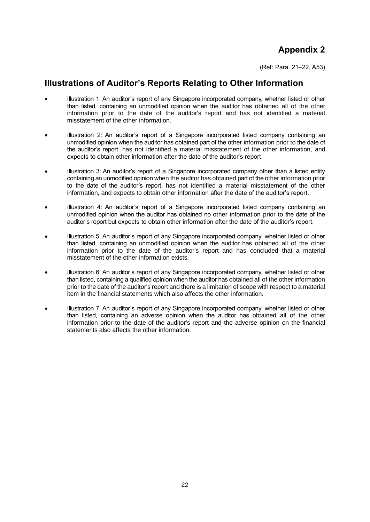# **Appendix 2**

(Ref: Para. 21‒22, A53)

# **Illustrations of Auditor's Reports Relating to Other Information**

- Illustration 1: An auditor's report of any Singapore incorporated company, whether listed or other than listed, containing an unmodified opinion when the auditor has obtained all of the other information prior to the date of the auditor's report and has not identified a material misstatement of the other information.
- Illustration 2: An auditor's report of a Singapore incorporated listed company containing an unmodified opinion when the auditor has obtained part of the other information prior to the date of the auditor's report, has not identified a material misstatement of the other information, and expects to obtain other information after the date of the auditor's report.
- Illustration 3: An auditor's report of a Singapore incorporated company other than a listed entity containing an unmodified opinion when the auditor has obtained part of the other information prior to the date of the auditor's report, has not identified a material misstatement of the other information, and expects to obtain other information after the date of the auditor's report.
- Illustration 4: An auditor's report of a Singapore incorporated listed company containing an unmodified opinion when the auditor has obtained no other information prior to the date of the auditor's report but expects to obtain other information after the date of the auditor's report.
- Illustration 5: An auditor's report of any Singapore incorporated company, whether listed or other than listed, containing an unmodified opinion when the auditor has obtained all of the other information prior to the date of the auditor's report and has concluded that a material misstatement of the other information exists.
- Illustration 6: An auditor's report of any Singapore incorporated company, whether listed or other than listed, containing a qualified opinion when the auditor has obtained all of the other information prior to the date of the auditor's report and there is a limitation of scope with respect to a material item in the financial statements which also affects the other information.
- Illustration 7: An auditor's report of any Singapore incorporated company, whether listed or other than listed, containing an adverse opinion when the auditor has obtained all of the other information prior to the date of the auditor's report and the adverse opinion on the financial statements also affects the other information.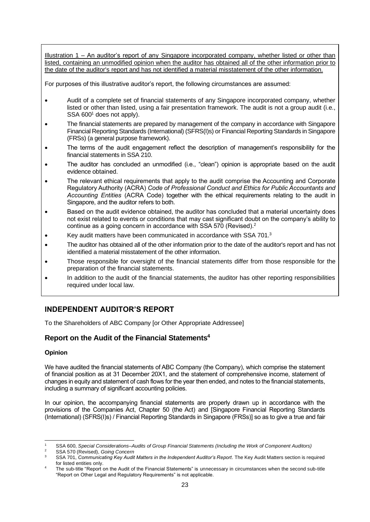Illustration 1 – An auditor's report of any Singapore incorporated company, whether listed or other than listed, containing an unmodified opinion when the auditor has obtained all of the other information prior to the date of the auditor's report and has not identified a material misstatement of the other information.

For purposes of this illustrative auditor's report, the following circumstances are assumed:

- Audit of a complete set of financial statements of any Singapore incorporated company, whether listed or other than listed, using a fair presentation framework. The audit is not a group audit (i.e., SSA 600<sup>1</sup> does not apply).
- The financial statements are prepared by management of the company in accordance with Singapore Financial Reporting Standards (International) (SFRS(I)s) or Financial Reporting Standards in Singapore (FRSs) (a general purpose framework).
- The terms of the audit engagement reflect the description of management's responsibility for the financial statements in SSA 210.
- The auditor has concluded an unmodified (i.e., "clean") opinion is appropriate based on the audit evidence obtained.
- The relevant ethical requirements that apply to the audit comprise the Accounting and Corporate Regulatory Authority (ACRA) *Code of Professional Conduct and Ethics for Public Accountants and Accounting Entities* (ACRA Code) together with the ethical requirements relating to the audit in Singapore, and the auditor refers to both.
- Based on the audit evidence obtained, the auditor has concluded that a material uncertainty does not exist related to events or conditions that may cast significant doubt on the company's ability to continue as a going concern in accordance with SSA 570 (Revised).<sup>2</sup>
- Key audit matters have been communicated in accordance with SSA 701.<sup>3</sup>
- The auditor has obtained all of the other information prior to the date of the auditor's report and has not identified a material misstatement of the other information.
- Those responsible for oversight of the financial statements differ from those responsible for the preparation of the financial statements.
- In addition to the audit of the financial statements, the auditor has other reporting responsibilities required under local law.

# **INDEPENDENT AUDITOR'S REPORT**

To the Shareholders of ABC Company [or Other Appropriate Addressee]

## **Report on the Audit of the Financial Statements<sup>4</sup>**

## **Opinion**

We have audited the financial statements of ABC Company (the Company), which comprise the statement of financial position as at 31 December 20X1, and the statement of comprehensive income, statement of changes in equity and statement of cash flows for the year then ended, and notes to the financial statements, including a summary of significant accounting policies.

In our opinion, the accompanying financial statements are properly drawn up in accordance with the provisions of the Companies Act, Chapter 50 (the Act) and [Singapore Financial Reporting Standards (International) (SFRS(I)s) / Financial Reporting Standards in Singapore (FRSs)] so as to give a true and fair

<sup>1</sup> SSA 600, *Special Considerations–Audits of Group Financial Statements (Including the Work of Component Auditors)*

<sup>2</sup> SSA 570 (Revised), *Going Concern*

<sup>3</sup> SSA 701, *Communicating Key Audit Matters in the Independent Auditor's Report.* The Key Audit Matters section is required for listed entities only.

The sub-title "Report on the Audit of the Financial Statements" is unnecessary in circumstances when the second sub-title "Report on Other Legal and Regulatory Requirements" is not applicable.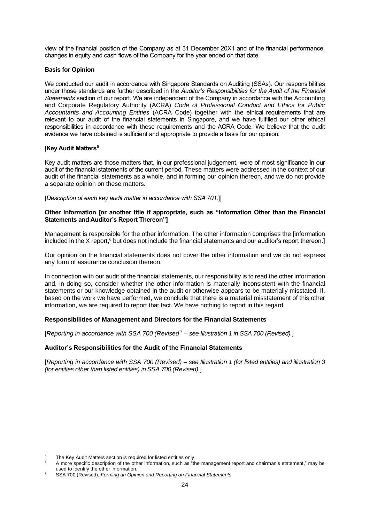view of the financial position of the Company as at 31 December 20X1 and of the financial performance, changes in equity and cash flows of the Company for the year ended on that date.

## **Basis for Opinion**

We conducted our audit in accordance with Singapore Standards on Auditing (SSAs). Our responsibilities under those standards are further described in the *Auditor's Responsibilities for the Audit of the Financial Statements* section of our report. We are independent of the Company in accordance with the Accounting and Corporate Regulatory Authority (ACRA) *Code of Professional Conduct and Ethics for Public Accountants and Accounting Entities* (ACRA Code) together with the ethical requirements that are relevant to our audit of the financial statements in Singapore, and we have fulfilled our other ethical responsibilities in accordance with these requirements and the ACRA Code. We believe that the audit evidence we have obtained is sufficient and appropriate to provide a basis for our opinion.

#### [**Key Audit Matters<sup>5</sup>**

Key audit matters are those matters that, in our professional judgement, were of most significance in our audit of the financial statements of the current period. These matters were addressed in the context of our audit of the financial statements as a whole, and in forming our opinion thereon, and we do not provide a separate opinion on these matters.

#### [*Description of each key audit matter in accordance with SSA 701.*]]

#### **Other Information [or another title if appropriate, such as "Information Other than the Financial Statements and Auditor's Report Thereon"]**

Management is responsible for the other information. The other information comprises the [information included in the X report, $6$  but does not include the financial statements and our auditor's report thereon.]

Our opinion on the financial statements does not cover the other information and we do not express any form of assurance conclusion thereon.

In connection with our audit of the financial statements, our responsibility is to read the other information and, in doing so, consider whether the other information is materially inconsistent with the financial statements or our knowledge obtained in the audit or otherwise appears to be materially misstated. If, based on the work we have performed, we conclude that there is a material misstatement of this other information, we are required to report that fact. We have nothing to report in this regard.

## **Responsibilities of Management and Directors for the Financial Statements**

[*Reporting in accordance with SSA 700 (Revised* <sup>7</sup> *– see Illustration 1 in SSA 700 (Revised).*]

#### **Auditor's Responsibilities for the Audit of the Financial Statements**

[*Reporting in accordance with SSA 700 (Revised) – see Illustration 1 (for listed entities) and illustration 3 (for entities other than listed entities) in SSA 700 (Revised).*]

The Key Audit Matters section is required for listed entities only

<sup>6</sup> A more specific description of the other information, such as "the management report and chairman's statement," may be used to identify the other information.

<sup>7</sup> SSA 700 (Revised), *Forming an Opinion and Reporting on Financial Statements*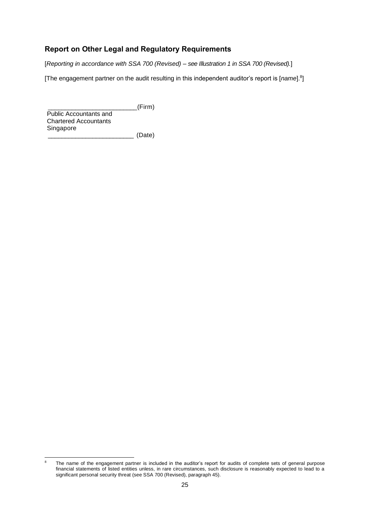# **Report on Other Legal and Regulatory Requirements**

[*Reporting in accordance with SSA 700 (Revised) – see Illustration 1 in SSA 700 (Revised).*]

[The engagement partner on the audit resulting in this independent auditor's report is [name].<sup>8</sup>]

 $(Firm)$ Public Accountants and

Chartered Accountants Singapore

\_\_\_\_\_\_\_\_\_\_\_\_\_\_\_\_\_\_\_\_\_\_\_\_\_ (Date)

The name of the engagement partner is included in the auditor's report for audits of complete sets of general purpose financial statements of listed entities unless, in rare circumstances, such disclosure is reasonably expected to lead to a significant personal security threat (see SSA 700 (Revised), paragraph 45).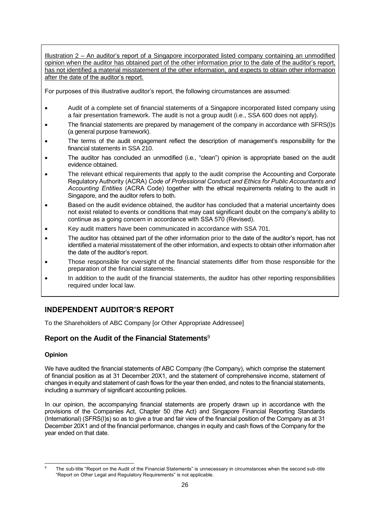Illustration 2 – An auditor's report of a Singapore incorporated listed company containing an unmodified opinion when the auditor has obtained part of the other information prior to the date of the auditor's report, has not identified a material misstatement of the other information, and expects to obtain other information after the date of the auditor's report.

For purposes of this illustrative auditor's report, the following circumstances are assumed:

- Audit of a complete set of financial statements of a Singapore incorporated listed company using a fair presentation framework. The audit is not a group audit (i.e., SSA 600 does not apply).
- The financial statements are prepared by management of the company in accordance with SFRS(I)s (a general purpose framework).
- The terms of the audit engagement reflect the description of management's responsibility for the financial statements in SSA 210.
- The auditor has concluded an unmodified (i.e., "clean") opinion is appropriate based on the audit evidence obtained.
- The relevant ethical requirements that apply to the audit comprise the Accounting and Corporate Regulatory Authority (ACRA) *Code of Professional Conduct and Ethics for Public Accountants and Accounting Entities* (ACRA Code) together with the ethical requirements relating to the audit in Singapore, and the auditor refers to both.
- Based on the audit evidence obtained, the auditor has concluded that a material uncertainty does not exist related to events or conditions that may cast significant doubt on the company's ability to continue as a going concern in accordance with SSA 570 (Revised).
- Key audit matters have been communicated in accordance with SSA 701.
- The auditor has obtained part of the other information prior to the date of the auditor's report, has not identified a material misstatement of the other information, and expects to obtain other information after the date of the auditor's report.
- Those responsible for oversight of the financial statements differ from those responsible for the preparation of the financial statements.
- In addition to the audit of the financial statements, the auditor has other reporting responsibilities required under local law.

# **INDEPENDENT AUDITOR'S REPORT**

To the Shareholders of ABC Company [or Other Appropriate Addressee]

# **Report on the Audit of the Financial Statements**<sup>9</sup>

## **Opinion**

We have audited the financial statements of ABC Company (the Company), which comprise the statement of financial position as at 31 December 20X1, and the statement of comprehensive income, statement of changes in equity and statement of cash flows for the year then ended, and notes to the financial statements, including a summary of significant accounting policies.

In our opinion, the accompanying financial statements are properly drawn up in accordance with the provisions of the Companies Act, Chapter 50 (the Act) and Singapore Financial Reporting Standards (International) (SFRS(I)s) so as to give a true and fair view of the financial position of the Company as at 31 December 20X1 and of the financial performance, changes in equity and cash flows of the Company for the year ended on that date.

The sub-title "Report on the Audit of the Financial Statements" is unnecessary in circumstances when the second sub-title "Report on Other Legal and Regulatory Requirements" is not applicable.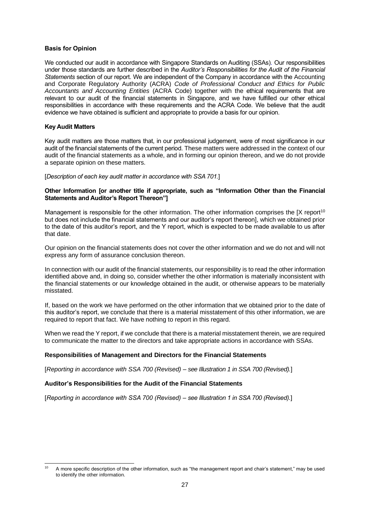#### **Basis for Opinion**

We conducted our audit in accordance with Singapore Standards on Auditing (SSAs). Our responsibilities under those standards are further described in the *Auditor's Responsibilities for the Audit of the Financial Statements* section of our report. We are independent of the Company in accordance with the Accounting and Corporate Regulatory Authority (ACRA) *Code of Professional Conduct and Ethics for Public Accountants and Accounting Entities* (ACRA Code) together with the ethical requirements that are relevant to our audit of the financial statements in Singapore, and we have fulfilled our other ethical responsibilities in accordance with these requirements and the ACRA Code. We believe that the audit evidence we have obtained is sufficient and appropriate to provide a basis for our opinion.

#### **Key Audit Matters**

Key audit matters are those matters that, in our professional judgement, were of most significance in our audit of the financial statements of the current period. These matters were addressed in the context of our audit of the financial statements as a whole, and in forming our opinion thereon, and we do not provide a separate opinion on these matters.

[*Description of each key audit matter in accordance with SSA 701.*]

#### **Other Information [or another title if appropriate, such as "Information Other than the Financial Statements and Auditor's Report Thereon"]**

Management is responsible for the other information. The other information comprises the  $[X]$  report<sup>10</sup> but does not include the financial statements and our auditor's report thereon], which we obtained prior to the date of this auditor's report, and the Y report, which is expected to be made available to us after that date.

Our opinion on the financial statements does not cover the other information and we do not and will not express any form of assurance conclusion thereon.

In connection with our audit of the financial statements, our responsibility is to read the other information identified above and, in doing so, consider whether the other information is materially inconsistent with the financial statements or our knowledge obtained in the audit, or otherwise appears to be materially misstated.

If, based on the work we have performed on the other information that we obtained prior to the date of this auditor's report, we conclude that there is a material misstatement of this other information, we are required to report that fact. We have nothing to report in this regard.

When we read the Y report, if we conclude that there is a material misstatement therein, we are required to communicate the matter to the directors and take appropriate actions in accordance with SSAs.

## **Responsibilities of Management and Directors for the Financial Statements**

[*Reporting in accordance with SSA 700 (Revised) – see Illustration 1 in SSA 700 (Revised).*]

#### **Auditor's Responsibilities for the Audit of the Financial Statements**

[*Reporting in accordance with SSA 700 (Revised) – see Illustration 1 in SSA 700 (Revised).*]

<sup>&</sup>lt;sup>10</sup> A more specific description of the other information, such as "the management report and chair's statement," may be used to identify the other information.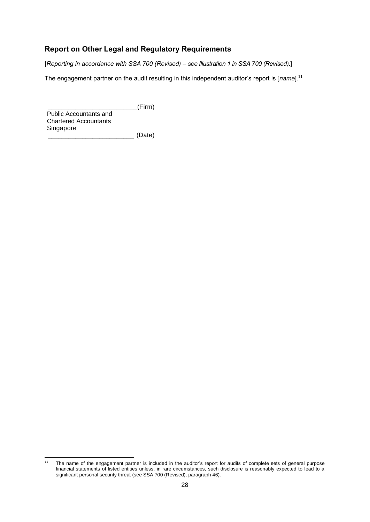# **Report on Other Legal and Regulatory Requirements**

[*Reporting in accordance with SSA 700 (Revised) – see Illustration 1 in SSA 700 (Revised).*]

The engagement partner on the audit resulting in this independent auditor's report is [*name*].<sup>11</sup>

 $(Firm)$ 

Public Accountants and Chartered Accountants Singapore

\_\_\_\_\_\_\_\_\_\_\_\_\_\_\_\_\_\_\_\_\_\_\_\_\_ (Date)

<sup>&</sup>lt;sup>11</sup> The name of the engagement partner is included in the auditor's report for audits of complete sets of general purpose financial statements of listed entities unless, in rare circumstances, such disclosure is reasonably expected to lead to a significant personal security threat (see SSA 700 (Revised), paragraph 46).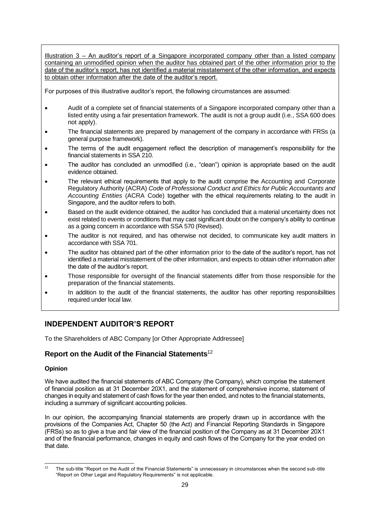Illustration 3 – An auditor's report of a Singapore incorporated company other than a listed company containing an unmodified opinion when the auditor has obtained part of the other information prior to the date of the auditor's report, has not identified a material misstatement of the other information, and expects to obtain other information after the date of the auditor's report.

For purposes of this illustrative auditor's report, the following circumstances are assumed:

- Audit of a complete set of financial statements of a Singapore incorporated company other than a listed entity using a fair presentation framework. The audit is not a group audit (i.e., SSA 600 does not apply).
- The financial statements are prepared by management of the company in accordance with FRSs (a general purpose framework).
- The terms of the audit engagement reflect the description of management's responsibility for the financial statements in SSA 210.
- The auditor has concluded an unmodified (i.e., "clean") opinion is appropriate based on the audit evidence obtained.
- The relevant ethical requirements that apply to the audit comprise the Accounting and Corporate Regulatory Authority (ACRA) *Code of Professional Conduct and Ethics for Public Accountants and Accounting Entities* (ACRA Code) together with the ethical requirements relating to the audit in Singapore, and the auditor refers to both.
- Based on the audit evidence obtained, the auditor has concluded that a material uncertainty does not exist related to events or conditions that may cast significant doubt on the company's ability to continue as a going concern in accordance with SSA 570 (Revised).
- The auditor is not required, and has otherwise not decided, to communicate key audit matters in accordance with SSA 701.
- The auditor has obtained part of the other information prior to the date of the auditor's report, has not identified a material misstatement of the other information, and expects to obtain other information after the date of the auditor's report.
- Those responsible for oversight of the financial statements differ from those responsible for the preparation of the financial statements.
- In addition to the audit of the financial statements, the auditor has other reporting responsibilities required under local law.

# **INDEPENDENT AUDITOR'S REPORT**

To the Shareholders of ABC Company [or Other Appropriate Addressee]

# **Report on the Audit of the Financial Statements**<sup>12</sup>

## **Opinion**

We have audited the financial statements of ABC Company (the Company), which comprise the statement of financial position as at 31 December 20X1, and the statement of comprehensive income, statement of changes in equity and statement of cash flows for the year then ended, and notes to the financial statements, including a summary of significant accounting policies.

In our opinion, the accompanying financial statements are properly drawn up in accordance with the provisions of the Companies Act, Chapter 50 (the Act) and Financial Reporting Standards in Singapore (FRSs) so as to give a true and fair view of the financial position of the Company as at 31 December 20X1 and of the financial performance, changes in equity and cash flows of the Company for the year ended on that date.

<sup>&</sup>lt;sup>12</sup> The sub-title "Report on the Audit of the Financial Statements" is unnecessary in circumstances when the second sub-title "Report on Other Legal and Regulatory Requirements" is not applicable.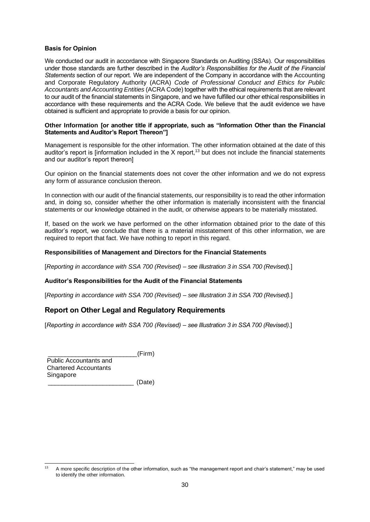### **Basis for Opinion**

We conducted our audit in accordance with Singapore Standards on Auditing (SSAs). Our responsibilities under those standards are further described in the *Auditor's Responsibilities for the Audit of the Financial Statements* section of our report. We are independent of the Company in accordance with the Accounting and Corporate Regulatory Authority (ACRA) *Code of Professional Conduct and Ethics for Public Accountants and Accounting Entities* (ACRA Code) together with the ethical requirements that are relevant to our audit of the financial statements in Singapore, and we have fulfilled our other ethical responsibilities in accordance with these requirements and the ACRA Code. We believe that the audit evidence we have obtained is sufficient and appropriate to provide a basis for our opinion.

#### **Other Information [or another title if appropriate, such as "Information Other than the Financial Statements and Auditor's Report Thereon"]**

Management is responsible for the other information. The other information obtained at the date of this auditor's report is [information included in the X report,<sup>13</sup> but does not include the financial statements and our auditor's report thereon]

Our opinion on the financial statements does not cover the other information and we do not express any form of assurance conclusion thereon.

In connection with our audit of the financial statements, our responsibility is to read the other information and, in doing so, consider whether the other information is materially inconsistent with the financial statements or our knowledge obtained in the audit, or otherwise appears to be materially misstated.

If, based on the work we have performed on the other information obtained prior to the date of this auditor's report, we conclude that there is a material misstatement of this other information, we are required to report that fact. We have nothing to report in this regard.

#### **Responsibilities of Management and Directors for the Financial Statements**

[*Reporting in accordance with SSA 700 (Revised) – see Illustration 3 in SSA 700 (Revised).*]

#### **Auditor's Responsibilities for the Audit of the Financial Statements**

[*Reporting in accordance with SSA 700 (Revised) – see Illustration 3 in SSA 700 (Revised).*]

## **Report on Other Legal and Regulatory Requirements**

[*Reporting in accordance with SSA 700 (Revised) – see Illustration 3 in SSA 700 (Revised).*]

 $\angle$ (Firm) Public Accountants and Chartered Accountants Singapore

\_\_\_\_\_\_\_\_\_\_\_\_\_\_\_\_\_\_\_\_\_\_\_\_\_ (Date)

<sup>&</sup>lt;sup>13</sup> A more specific description of the other information, such as "the management report and chair's statement," may be used to identify the other information.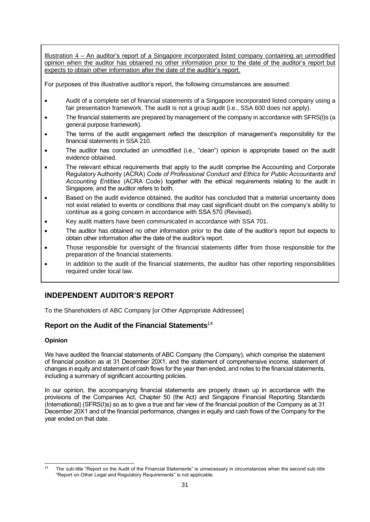Illustration 4 – An auditor's report of a Singapore incorporated listed company containing an unmodified opinion when the auditor has obtained no other information prior to the date of the auditor's report but expects to obtain other information after the date of the auditor's report.

For purposes of this illustrative auditor's report, the following circumstances are assumed:

- Audit of a complete set of financial statements of a Singapore incorporated listed company using a fair presentation framework. The audit is not a group audit (i.e., SSA 600 does not apply).
- The financial statements are prepared by management of the company in accordance with SFRS(I)s (a general purpose framework).
- The terms of the audit engagement reflect the description of management's responsibility for the financial statements in SSA 210.
- The auditor has concluded an unmodified (i.e., "clean") opinion is appropriate based on the audit evidence obtained.
- The relevant ethical requirements that apply to the audit comprise the Accounting and Corporate Regulatory Authority (ACRA) *Code of Professional Conduct and Ethics for Public Accountants and Accounting Entities* (ACRA Code) together with the ethical requirements relating to the audit in Singapore, and the auditor refers to both.
- Based on the audit evidence obtained, the auditor has concluded that a material uncertainty does not exist related to events or conditions that may cast significant doubt on the company's ability to continue as a going concern in accordance with SSA 570 (Revised).
- Key audit matters have been communicated in accordance with SSA 701.
- The auditor has obtained no other information prior to the date of the auditor's report but expects to obtain other information after the date of the auditor's report.
- Those responsible for oversight of the financial statements differ from those responsible for the preparation of the financial statements.
- In addition to the audit of the financial statements, the auditor has other reporting responsibilities required under local law.

# **INDEPENDENT AUDITOR'S REPORT**

To the Shareholders of ABC Company [or Other Appropriate Addressee]

# **Report on the Audit of the Financial Statements**<sup>14</sup>

## **Opinion**

We have audited the financial statements of ABC Company (the Company), which comprise the statement of financial position as at 31 December 20X1, and the statement of comprehensive income, statement of changes in equity and statement of cash flows for the year then ended, and notes to the financial statements, including a summary of significant accounting policies.

In our opinion, the accompanying financial statements are properly drawn up in accordance with the provisions of the Companies Act, Chapter 50 (the Act) and Singapore Financial Reporting Standards (International) (SFRS(I)s) so as to give a true and fair view of the financial position of the Company as at 31 December 20X1 and of the financial performance, changes in equity and cash flows of the Company for the year ended on that date.

<sup>&</sup>lt;sup>14</sup> The sub-title "Report on the Audit of the Financial Statements" is unnecessary in circumstances when the second sub-title "Report on Other Legal and Regulatory Requirements" is not applicable.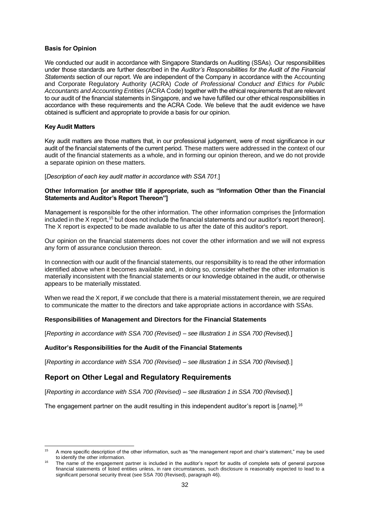#### **Basis for Opinion**

We conducted our audit in accordance with Singapore Standards on Auditing (SSAs). Our responsibilities under those standards are further described in the *Auditor's Responsibilities for the Audit of the Financial Statements* section of our report. We are independent of the Company in accordance with the Accounting and Corporate Regulatory Authority (ACRA) *Code of Professional Conduct and Ethics for Public Accountants and Accounting Entities* (ACRA Code) together with the ethical requirements that are relevant to our audit of the financial statements in Singapore, and we have fulfilled our other ethical responsibilities in accordance with these requirements and the ACRA Code. We believe that the audit evidence we have obtained is sufficient and appropriate to provide a basis for our opinion.

#### **Key Audit Matters**

Key audit matters are those matters that, in our professional judgement, were of most significance in our audit of the financial statements of the current period. These matters were addressed in the context of our audit of the financial statements as a whole, and in forming our opinion thereon, and we do not provide a separate opinion on these matters.

[*Description of each key audit matter in accordance with SSA 701.*]

#### **Other Information [or another title if appropriate, such as "Information Other than the Financial Statements and Auditor's Report Thereon"]**

Management is responsible for the other information. The other information comprises the [information included in the X report,<sup>15</sup> but does not include the financial statements and our auditor's report thereon]. The X report is expected to be made available to us after the date of this auditor's report.

Our opinion on the financial statements does not cover the other information and we will not express any form of assurance conclusion thereon.

In connection with our audit of the financial statements, our responsibility is to read the other information identified above when it becomes available and, in doing so, consider whether the other information is materially inconsistent with the financial statements or our knowledge obtained in the audit, or otherwise appears to be materially misstated.

When we read the X report, if we conclude that there is a material misstatement therein, we are required to communicate the matter to the directors and take appropriate actions in accordance with SSAs.

## **Responsibilities of Management and Directors for the Financial Statements**

[*Reporting in accordance with SSA 700 (Revised) – see Illustration 1 in SSA 700 (Revised).*]

#### **Auditor's Responsibilities for the Audit of the Financial Statements**

[*Reporting in accordance with SSA 700 (Revised) – see Illustration 1 in SSA 700 (Revised).*]

## **Report on Other Legal and Regulatory Requirements**

[*Reporting in accordance with SSA 700 (Revised) – see Illustration 1 in SSA 700 (Revised).*]

The engagement partner on the audit resulting in this independent auditor's report is [*name*].<sup>16</sup>

<sup>15</sup> A more specific description of the other information, such as "the management report and chair's statement," may be used to identify the other information.

<sup>16</sup> The name of the engagement partner is included in the auditor's report for audits of complete sets of general purpose financial statements of listed entities unless, in rare circumstances, such disclosure is reasonably expected to lead to a significant personal security threat (see SSA 700 (Revised), paragraph 46).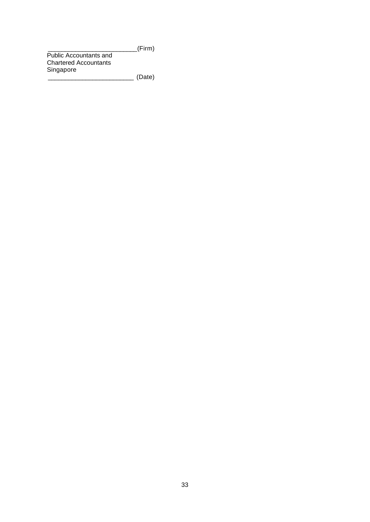$\Box$ (Firm)

Public Accountants and Chartered Accountants Singapore

\_\_\_\_\_\_\_\_\_\_\_\_\_\_\_\_\_\_\_\_\_\_\_\_\_ (Date)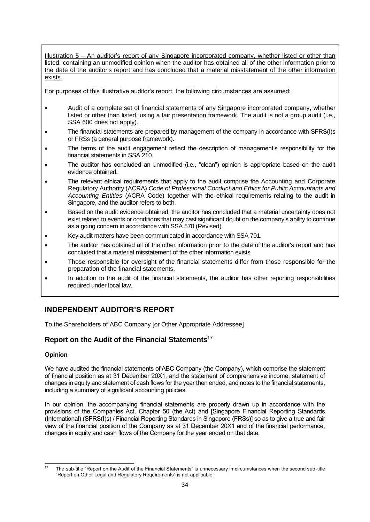Illustration 5 – An auditor's report of any Singapore incorporated company, whether listed or other than listed, containing an unmodified opinion when the auditor has obtained all of the other information prior to the date of the auditor's report and has concluded that a material misstatement of the other information exists.

For purposes of this illustrative auditor's report, the following circumstances are assumed:

- Audit of a complete set of financial statements of any Singapore incorporated company, whether listed or other than listed, using a fair presentation framework. The audit is not a group audit (i.e., SSA 600 does not apply).
- The financial statements are prepared by management of the company in accordance with SFRS(I)s or FRSs (a general purpose framework).
- The terms of the audit engagement reflect the description of management's responsibility for the financial statements in SSA 210.
- The auditor has concluded an unmodified (i.e., "clean") opinion is appropriate based on the audit evidence obtained.
- The relevant ethical requirements that apply to the audit comprise the Accounting and Corporate Regulatory Authority (ACRA) *Code of Professional Conduct and Ethics for Public Accountants and Accounting Entities* (ACRA Code) together with the ethical requirements relating to the audit in Singapore, and the auditor refers to both.
- Based on the audit evidence obtained, the auditor has concluded that a material uncertainty does not exist related to events or conditions that may cast significant doubt on the company's ability to continue as a going concern in accordance with SSA 570 (Revised).
- Key audit matters have been communicated in accordance with SSA 701.
- The auditor has obtained all of the other information prior to the date of the auditor's report and has concluded that a material misstatement of the other information exists
- Those responsible for oversight of the financial statements differ from those responsible for the preparation of the financial statements.
- In addition to the audit of the financial statements, the auditor has other reporting responsibilities required under local law.

# **INDEPENDENT AUDITOR'S REPORT**

To the Shareholders of ABC Company [or Other Appropriate Addressee]

## **Report on the Audit of the Financial Statements**<sup>17</sup>

## **Opinion**

We have audited the financial statements of ABC Company (the Company), which comprise the statement of financial position as at 31 December 20X1, and the statement of comprehensive income, statement of changes in equity and statement of cash flows for the year then ended, and notes to the financial statements, including a summary of significant accounting policies.

In our opinion, the accompanying financial statements are properly drawn up in accordance with the provisions of the Companies Act, Chapter 50 (the Act) and [Singapore Financial Reporting Standards (International) (SFRS(I)s) / Financial Reporting Standards in Singapore (FRSs)] so as to give a true and fair view of the financial position of the Company as at 31 December 20X1 and of the financial performance, changes in equity and cash flows of the Company for the year ended on that date.

<sup>&</sup>lt;sup>17</sup> The sub-title "Report on the Audit of the Financial Statements" is unnecessary in circumstances when the second sub-title "Report on Other Legal and Regulatory Requirements" is not applicable.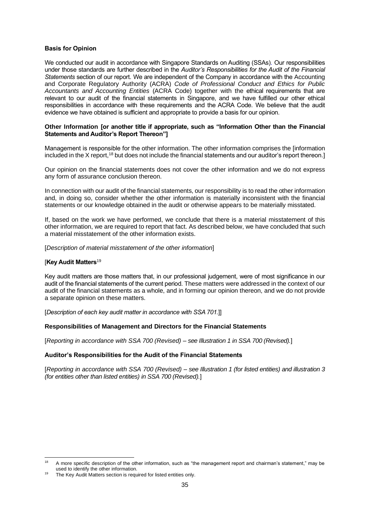#### **Basis for Opinion**

We conducted our audit in accordance with Singapore Standards on Auditing (SSAs). Our responsibilities under those standards are further described in the *Auditor's Responsibilities for the Audit of the Financial Statements* section of our report. We are independent of the Company in accordance with the Accounting and Corporate Regulatory Authority (ACRA) *Code of Professional Conduct and Ethics for Public Accountants and Accounting Entities* (ACRA Code) together with the ethical requirements that are relevant to our audit of the financial statements in Singapore, and we have fulfilled our other ethical responsibilities in accordance with these requirements and the ACRA Code. We believe that the audit evidence we have obtained is sufficient and appropriate to provide a basis for our opinion.

#### **Other Information [or another title if appropriate, such as "Information Other than the Financial Statements and Auditor's Report Thereon"]**

Management is responsible for the other information. The other information comprises the [information included in the X report,<sup>18</sup> but does not include the financial statements and our auditor's report thereon.]

Our opinion on the financial statements does not cover the other information and we do not express any form of assurance conclusion thereon.

In connection with our audit of the financial statements, our responsibility is to read the other information and, in doing so, consider whether the other information is materially inconsistent with the financial statements or our knowledge obtained in the audit or otherwise appears to be materially misstated.

If, based on the work we have performed, we conclude that there is a material misstatement of this other information, we are required to report that fact. As described below, we have concluded that such a material misstatement of the other information exists.

[*Description of material misstatement of the other information*]

#### [**Key Audit Matters**<sup>19</sup>

Key audit matters are those matters that, in our professional judgement, were of most significance in our audit of the financial statements of the current period. These matters were addressed in the context of our audit of the financial statements as a whole, and in forming our opinion thereon, and we do not provide a separate opinion on these matters.

[*Description of each key audit matter in accordance with SSA 701.*]]

#### **Responsibilities of Management and Directors for the Financial Statements**

[*Reporting in accordance with SSA 700 (Revised) – see Illustration 1 in SSA 700 (Revised).*]

#### **Auditor's Responsibilities for the Audit of the Financial Statements**

[*Reporting in accordance with SSA 700 (Revised) – see Illustration 1 (for listed entities) and illustration 3 (for entities other than listed entities) in SSA 700 (Revised).*]

 $18$  A more specific description of the other information, such as "the management report and chairman's statement," may be used to identify the other information.

<sup>&</sup>lt;sup>19</sup> The Key Audit Matters section is required for listed entities only.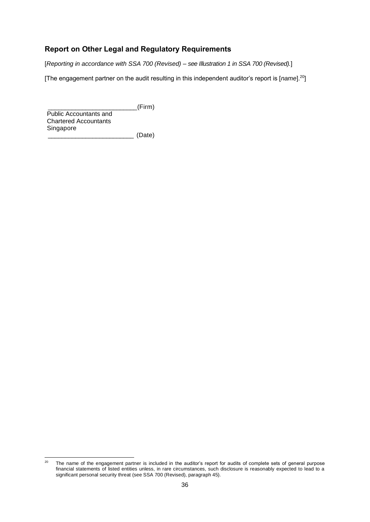# **Report on Other Legal and Regulatory Requirements**

[*Reporting in accordance with SSA 700 (Revised) – see Illustration 1 in SSA 700 (Revised).*]

[The engagement partner on the audit resulting in this independent auditor's report is [*name*].<sup>20</sup>]

 $(Firm)$ Public Accountants and

Chartered Accountants Singapore

\_\_\_\_\_\_\_\_\_\_\_\_\_\_\_\_\_\_\_\_\_\_\_\_\_ (Date)

<sup>&</sup>lt;sup>20</sup> The name of the engagement partner is included in the auditor's report for audits of complete sets of general purpose financial statements of listed entities unless, in rare circumstances, such disclosure is reasonably expected to lead to a significant personal security threat (see SSA 700 (Revised), paragraph 45).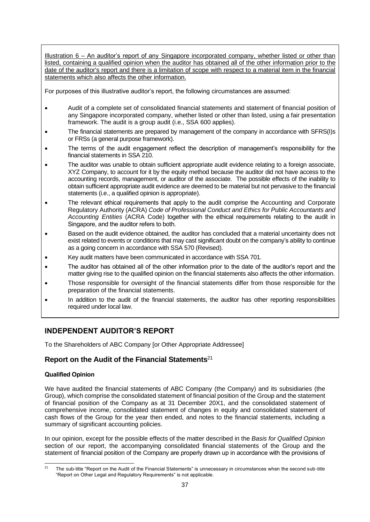Illustration 6 – An auditor's report of any Singapore incorporated company, whether listed or other than listed, containing a qualified opinion when the auditor has obtained all of the other information prior to the date of the auditor's report and there is a limitation of scope with respect to a material item in the financial statements which also affects the other information.

For purposes of this illustrative auditor's report, the following circumstances are assumed:

- Audit of a complete set of consolidated financial statements and statement of financial position of any Singapore incorporated company, whether listed or other than listed, using a fair presentation framework. The audit is a group audit (i.e., SSA 600 applies).
- The financial statements are prepared by management of the company in accordance with SFRS(I)s or FRSs (a general purpose framework).
- The terms of the audit engagement reflect the description of management's responsibility for the financial statements in SSA 210.
- The auditor was unable to obtain sufficient appropriate audit evidence relating to a foreign associate, XYZ Company, to account for it by the equity method because the auditor did not have access to the accounting records, management, or auditor of the associate. The possible effects of the inability to obtain sufficient appropriate audit evidence are deemed to be material but not pervasive to the financial statements (i.e., a qualified opinion is appropriate).
- The relevant ethical requirements that apply to the audit comprise the Accounting and Corporate Regulatory Authority (ACRA) *Code of Professional Conduct and Ethics for Public Accountants and Accounting Entities* (ACRA Code) together with the ethical requirements relating to the audit in Singapore, and the auditor refers to both.
- Based on the audit evidence obtained, the auditor has concluded that a material uncertainty does not exist related to events or conditions that may cast significant doubt on the company's ability to continue as a going concern in accordance with SSA 570 (Revised).
- Key audit matters have been communicated in accordance with SSA 701.
- The auditor has obtained all of the other information prior to the date of the auditor's report and the matter giving rise to the qualified opinion on the financial statements also affects the other information.
- Those responsible for oversight of the financial statements differ from those responsible for the preparation of the financial statements.
- In addition to the audit of the financial statements, the auditor has other reporting responsibilities required under local law.

# **INDEPENDENT AUDITOR'S REPORT**

To the Shareholders of ABC Company [or Other Appropriate Addressee]

# **Report on the Audit of the Financial Statements**<sup>21</sup>

## **Qualified Opinion**

We have audited the financial statements of ABC Company (the Company) and its subsidiaries (the Group), which comprise the consolidated statement of financial position of the Group and the statement of financial position of the Company as at 31 December 20X1, and the consolidated statement of comprehensive income, consolidated statement of changes in equity and consolidated statement of cash flows of the Group for the year then ended, and notes to the financial statements, including a summary of significant accounting policies.

In our opinion, except for the possible effects of the matter described in the *Basis for Qualified Opinion*  section of our report, the accompanying consolidated financial statements of the Group and the statement of financial position of the Company are properly drawn up in accordance with the provisions of

<sup>&</sup>lt;sup>21</sup> The sub-title "Report on the Audit of the Financial Statements" is unnecessary in circumstances when the second sub-title "Report on Other Legal and Regulatory Requirements" is not applicable.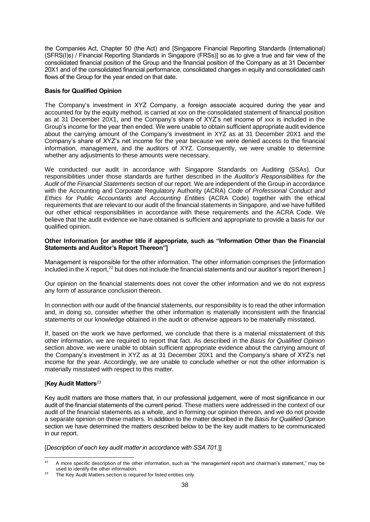the Companies Act, Chapter 50 (the Act) and [Singapore Financial Reporting Standards (International) (SFRS(I)s) / Financial Reporting Standards in Singapore (FRSs)] so as to give a true and fair view of the consolidated financial position of the Group and the financial position of the Company as at 31 December 20X1 and of the consolidated financial performance, consolidated changes in equity and consolidated cash flows of the Group for the year ended on that date.

#### **Basis for Qualified Opinion**

The Company's investment in XYZ Company, a foreign associate acquired during the year and accounted for by the equity method, is carried at xxx on the consolidated statement of financial position as at 31 December 20X1, and the Company's share of XYZ's net income of xxx is included in the Group's income for the year then ended. We were unable to obtain sufficient appropriate audit evidence about the carrying amount of the Company's investment in XYZ as at 31 December 20X1 and the Company's share of XYZ's net income for the year because we were denied access to the financial information, management, and the auditors of XYZ. Consequently, we were unable to determine whether any adjustments to these amounts were necessary.

We conducted our audit in accordance with Singapore Standards on Auditing (SSAs). Our responsibilities under those standards are further described in the *Auditor's Responsibilities for the Audit of the Financial Statements* section of our report. We are independent of the Group in accordance with the Accounting and Corporate Regulatory Authority (ACRA) *Code of Professional Conduct and Ethics for Public Accountants and Accounting Entities* (ACRA Code) together with the ethical requirements that are relevant to our audit of the financial statements in Singapore, and we have fulfilled our other ethical responsibilities in accordance with these requirements and the ACRA Code. We believe that the audit evidence we have obtained is sufficient and appropriate to provide a basis for our qualified opinion.

#### **Other Information [or another title if appropriate, such as "Information Other than the Financial Statements and Auditor's Report Thereon"]**

Management is responsible for the other information. The other information comprises the [information included in the X report,<sup>22</sup> but does not include the financial statements and our auditor's report thereon.]

Our opinion on the financial statements does not cover the other information and we do not express any form of assurance conclusion thereon.

In connection with our audit of the financial statements, our responsibility is to read the other information and, in doing so, consider whether the other information is materially inconsistent with the financial statements or our knowledge obtained in the audit or otherwise appears to be materially misstated.

If, based on the work we have performed, we conclude that there is a material misstatement of this other information, we are required to report that fact. As described in the *Basis for Qualified Opinion* section above, we were unable to obtain sufficient appropriate evidence about the carrying amount of the Company's investment in XYZ as at 31 December 20X1 and the Company's share of XYZ's net income for the year. Accordingly, we are unable to conclude whether or not the other information is materially misstated with respect to this matter.

## [**Key Audit Matters**<sup>23</sup>

Key audit matters are those matters that, in our professional judgement, were of most significance in our audit of the financial statements of the current period. These matters were addressed in the context of our audit of the financial statements as a whole, and in forming our opinion thereon, and we do not provide a separate opinion on these matters. In addition to the matter described in the *Basis for Qualified Opinion* section we have determined the matters described below to be the key audit matters to be communicated in our report.

#### [*Description of each key audit matter in accordance with SSA 701.*]]

 $22$  A more specific description of the other information, such as "the management report and chairman's statement," may be used to identify the other information.

The Key Audit Matters section is required for listed entities only.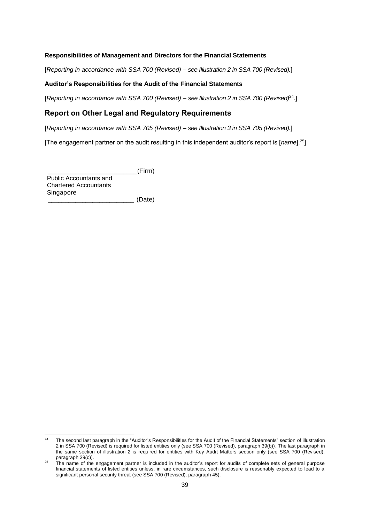## **Responsibilities of Management and Directors for the Financial Statements**

[*Reporting in accordance with SSA 700 (Revised) – see Illustration 2 in SSA 700 (Revised).*]

## **Auditor's Responsibilities for the Audit of the Financial Statements**

[*Reporting in accordance with SSA 700 (Revised) – see Illustration 2 in SSA 700 (Revised)*<sup>24</sup> *.*]

## **Report on Other Legal and Regulatory Requirements**

[*Reporting in accordance with SSA 705 (Revised) – see Illustration 3 in SSA 705 (Revised).*]

[The engagement partner on the audit resulting in this independent auditor's report is [*name*].<sup>25</sup>]

 $(Firm)$ Public Accountants and Chartered Accountants Singapore

 $\_$  (Date)

<sup>&</sup>lt;sup>24</sup> The second last paragraph in the "Auditor's Responsibilities for the Audit of the Financial Statements" section of illustration 2 in SSA 700 (Revised) is required for listed entities only (see SSA 700 (Revised), paragraph 39(b)). The last paragraph in the same section of illustration 2 is required for entities with Key Audit Matters section only (see SSA 700 (Revised), paragraph 39(c)).

 $25$  The name of the engagement partner is included in the auditor's report for audits of complete sets of general purpose financial statements of listed entities unless, in rare circumstances, such disclosure is reasonably expected to lead to a significant personal security threat (see SSA 700 (Revised), paragraph 45).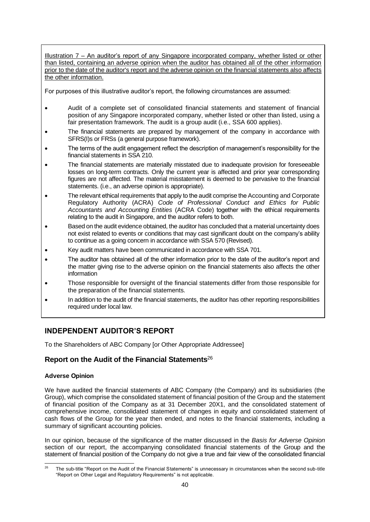Illustration 7 – An auditor's report of any Singapore incorporated company, whether listed or other than listed, containing an adverse opinion when the auditor has obtained all of the other information prior to the date of the auditor's report and the adverse opinion on the financial statements also affects the other information.

For purposes of this illustrative auditor's report, the following circumstances are assumed:

- Audit of a complete set of consolidated financial statements and statement of financial position of any Singapore incorporated company, whether listed or other than listed, using a fair presentation framework. The audit is a group audit (i.e., SSA 600 applies).
- The financial statements are prepared by management of the company in accordance with SFRS(I)s or FRSs (a general purpose framework).
- The terms of the audit engagement reflect the description of management's responsibility for the financial statements in SSA 210.
- The financial statements are materially misstated due to inadequate provision for foreseeable losses on long-term contracts. Only the current year is affected and prior year corresponding figures are not affected. The material misstatement is deemed to be pervasive to the financial statements. (i.e., an adverse opinion is appropriate).
- The relevant ethical requirements that apply to the audit comprise the Accounting and Corporate Regulatory Authority (ACRA) *Code of Professional Conduct and Ethics for Public Accountants and Accounting Entities* (ACRA Code) together with the ethical requirements relating to the audit in Singapore, and the auditor refers to both.
- Based on the audit evidence obtained, the auditor has concluded that a material uncertainty does not exist related to events or conditions that may cast significant doubt on the company's ability to continue as a going concern in accordance with SSA 570 (Revised).
- Key audit matters have been communicated in accordance with SSA 701.
- The auditor has obtained all of the other information prior to the date of the auditor's report and the matter giving rise to the adverse opinion on the financial statements also affects the other information
- Those responsible for oversight of the financial statements differ from those responsible for the preparation of the financial statements.
- In addition to the audit of the financial statements, the auditor has other reporting responsibilities required under local law.

# **INDEPENDENT AUDITOR'S REPORT**

To the Shareholders of ABC Company [or Other Appropriate Addressee]

# **Report on the Audit of the Financial Statements**<sup>26</sup>

## **Adverse Opinion**

We have audited the financial statements of ABC Company (the Company) and its subsidiaries (the Group), which comprise the consolidated statement of financial position of the Group and the statement of financial position of the Company as at 31 December 20X1, and the consolidated statement of comprehensive income, consolidated statement of changes in equity and consolidated statement of cash flows of the Group for the year then ended, and notes to the financial statements, including a summary of significant accounting policies.

In our opinion, because of the significance of the matter discussed in the *Basis for Adverse Opinion*  section of our report, the accompanying consolidated financial statements of the Group and the statement of financial position of the Company do not give a true and fair view of the consolidated financial

<sup>&</sup>lt;sup>26</sup> The sub-title "Report on the Audit of the Financial Statements" is unnecessary in circumstances when the second sub-title "Report on Other Legal and Regulatory Requirements" is not applicable.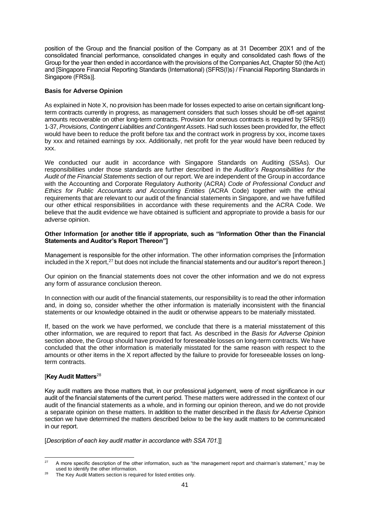position of the Group and the financial position of the Company as at 31 December 20X1 and of the consolidated financial performance, consolidated changes in equity and consolidated cash flows of the Group for the year then ended in accordance with the provisions of the Companies Act, Chapter 50 (the Act) and [Singapore Financial Reporting Standards (International) (SFRS(I)s) / Financial Reporting Standards in Singapore (FRSs)].

## **Basis for Adverse Opinion**

As explained in Note X, no provision has been made for losses expected to arise on certain significant longterm contracts currently in progress, as management considers that such losses should be off-set against amounts recoverable on other long-term contracts. Provision for onerous contracts is required by SFRS(I) 1-37, *Provisions, Contingent Liabilities and Contingent Assets*. Had such losses been provided for, the effect would have been to reduce the profit before tax and the contract work in progress by xxx, income taxes by xxx and retained earnings by xxx. Additionally, net profit for the year would have been reduced by xxx.

We conducted our audit in accordance with Singapore Standards on Auditing (SSAs). Our responsibilities under those standards are further described in the *Auditor's Responsibilities for the Audit of the Financial Statements* section of our report. We are independent of the Group in accordance with the Accounting and Corporate Regulatory Authority (ACRA) *Code of Professional Conduct and Ethics for Public Accountants and Accounting Entities* (ACRA Code) together with the ethical requirements that are relevant to our audit of the financial statements in Singapore, and we have fulfilled our other ethical responsibilities in accordance with these requirements and the ACRA Code. We believe that the audit evidence we have obtained is sufficient and appropriate to provide a basis for our adverse opinion.

#### **Other Information [or another title if appropriate, such as "Information Other than the Financial Statements and Auditor's Report Thereon"]**

Management is responsible for the other information. The other information comprises the [information included in the X report,<sup>27</sup> but does not include the financial statements and our auditor's report thereon.]

Our opinion on the financial statements does not cover the other information and we do not express any form of assurance conclusion thereon.

In connection with our audit of the financial statements, our responsibility is to read the other information and, in doing so, consider whether the other information is materially inconsistent with the financial statements or our knowledge obtained in the audit or otherwise appears to be materially misstated.

If, based on the work we have performed, we conclude that there is a material misstatement of this other information, we are required to report that fact. As described in the *Basis for Adverse Opinion* section above, the Group should have provided for foreseeable losses on long-term contracts. We have concluded that the other information is materially misstated for the same reason with respect to the amounts or other items in the X report affected by the failure to provide for foreseeable losses on longterm contracts.

## [**Key Audit Matters**<sup>28</sup>

Key audit matters are those matters that, in our professional judgement, were of most significance in our audit of the financial statements of the current period. These matters were addressed in the context of our audit of the financial statements as a whole, and in forming our opinion thereon, and we do not provide a separate opinion on these matters. In addition to the matter described in the *Basis for Adverse Opinion* section we have determined the matters described below to be the key audit matters to be communicated in our report.

#### [*Description of each key audit matter in accordance with SSA 701.*]]

<sup>&</sup>lt;sup>27</sup> A more specific description of the other information, such as "the management report and chairman's statement," may be used to identify the other information.

The Key Audit Matters section is required for listed entities only.